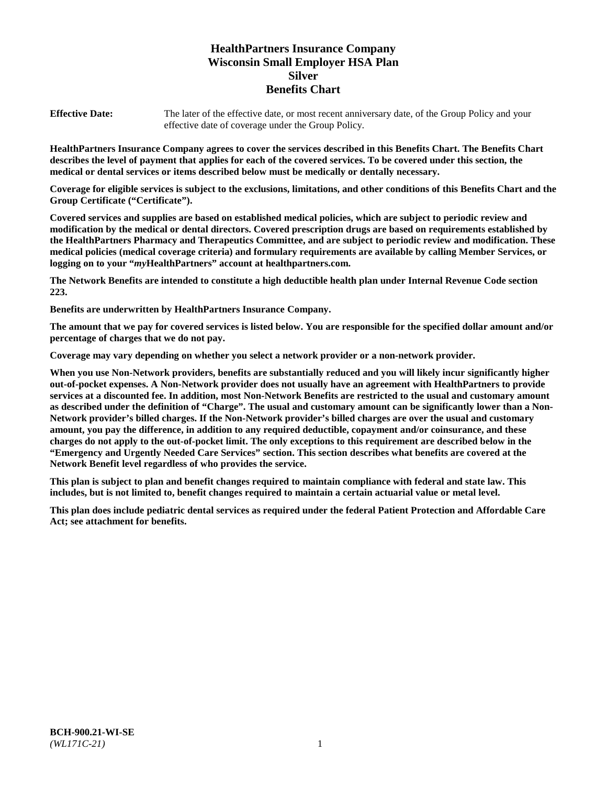# **HealthPartners Insurance Company Wisconsin Small Employer HSA Plan Silver Benefits Chart**

**Effective Date:** The later of the effective date, or most recent anniversary date, of the Group Policy and your effective date of coverage under the Group Policy.

**HealthPartners Insurance Company agrees to cover the services described in this Benefits Chart. The Benefits Chart describes the level of payment that applies for each of the covered services. To be covered under this section, the medical or dental services or items described below must be medically or dentally necessary.**

**Coverage for eligible services is subject to the exclusions, limitations, and other conditions of this Benefits Chart and the Group Certificate ("Certificate").**

**Covered services and supplies are based on established medical policies, which are subject to periodic review and modification by the medical or dental directors. Covered prescription drugs are based on requirements established by the HealthPartners Pharmacy and Therapeutics Committee, and are subject to periodic review and modification. These medical policies (medical coverage criteria) and formulary requirements are available by calling Member Services, or logging on to your "***my***HealthPartners" account at [healthpartners.com.](https://www.healthpartners.com/hp/index.html)**

**The Network Benefits are intended to constitute a high deductible health plan under Internal Revenue Code section 223.**

**Benefits are underwritten by HealthPartners Insurance Company.**

**The amount that we pay for covered services is listed below. You are responsible for the specified dollar amount and/or percentage of charges that we do not pay.**

**Coverage may vary depending on whether you select a network provider or a non-network provider.**

**When you use Non-Network providers, benefits are substantially reduced and you will likely incur significantly higher out-of-pocket expenses. A Non-Network provider does not usually have an agreement with HealthPartners to provide services at a discounted fee. In addition, most Non-Network Benefits are restricted to the usual and customary amount as described under the definition of "Charge". The usual and customary amount can be significantly lower than a Non-Network provider's billed charges. If the Non-Network provider's billed charges are over the usual and customary amount, you pay the difference, in addition to any required deductible, copayment and/or coinsurance, and these charges do not apply to the out-of-pocket limit. The only exceptions to this requirement are described below in the "Emergency and Urgently Needed Care Services" section. This section describes what benefits are covered at the Network Benefit level regardless of who provides the service.**

**This plan is subject to plan and benefit changes required to maintain compliance with federal and state law. This includes, but is not limited to, benefit changes required to maintain a certain actuarial value or metal level.**

**This plan does include pediatric dental services as required under the federal Patient Protection and Affordable Care Act; see attachment for benefits.**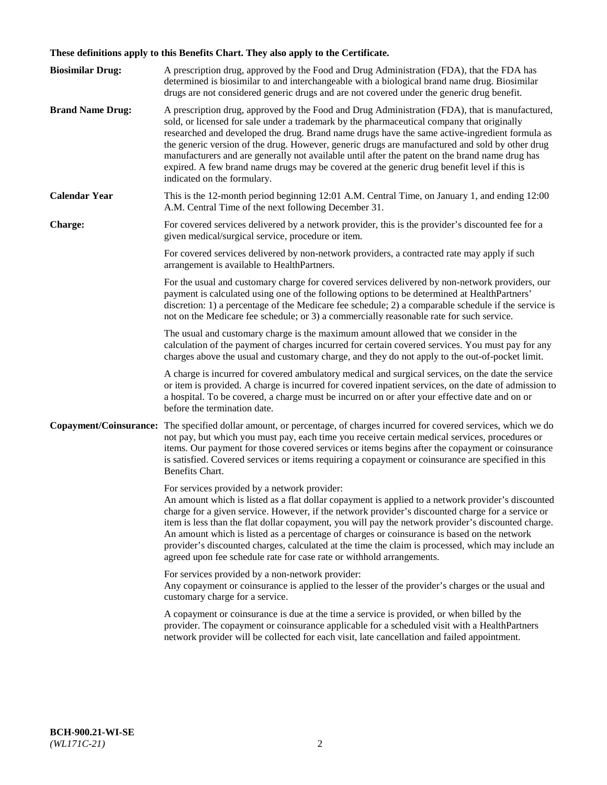# **These definitions apply to this Benefits Chart. They also apply to the Certificate.**

| <b>Biosimilar Drug:</b> | A prescription drug, approved by the Food and Drug Administration (FDA), that the FDA has<br>determined is biosimilar to and interchangeable with a biological brand name drug. Biosimilar<br>drugs are not considered generic drugs and are not covered under the generic drug benefit.                                                                                                                                                                                                                                                                                                                                                     |
|-------------------------|----------------------------------------------------------------------------------------------------------------------------------------------------------------------------------------------------------------------------------------------------------------------------------------------------------------------------------------------------------------------------------------------------------------------------------------------------------------------------------------------------------------------------------------------------------------------------------------------------------------------------------------------|
| <b>Brand Name Drug:</b> | A prescription drug, approved by the Food and Drug Administration (FDA), that is manufactured,<br>sold, or licensed for sale under a trademark by the pharmaceutical company that originally<br>researched and developed the drug. Brand name drugs have the same active-ingredient formula as<br>the generic version of the drug. However, generic drugs are manufactured and sold by other drug<br>manufacturers and are generally not available until after the patent on the brand name drug has<br>expired. A few brand name drugs may be covered at the generic drug benefit level if this is<br>indicated on the formulary.           |
| <b>Calendar Year</b>    | This is the 12-month period beginning 12:01 A.M. Central Time, on January 1, and ending 12:00<br>A.M. Central Time of the next following December 31.                                                                                                                                                                                                                                                                                                                                                                                                                                                                                        |
| <b>Charge:</b>          | For covered services delivered by a network provider, this is the provider's discounted fee for a<br>given medical/surgical service, procedure or item.                                                                                                                                                                                                                                                                                                                                                                                                                                                                                      |
|                         | For covered services delivered by non-network providers, a contracted rate may apply if such<br>arrangement is available to HealthPartners.                                                                                                                                                                                                                                                                                                                                                                                                                                                                                                  |
|                         | For the usual and customary charge for covered services delivered by non-network providers, our<br>payment is calculated using one of the following options to be determined at HealthPartners'<br>discretion: 1) a percentage of the Medicare fee schedule; 2) a comparable schedule if the service is<br>not on the Medicare fee schedule; or 3) a commercially reasonable rate for such service.                                                                                                                                                                                                                                          |
|                         | The usual and customary charge is the maximum amount allowed that we consider in the<br>calculation of the payment of charges incurred for certain covered services. You must pay for any<br>charges above the usual and customary charge, and they do not apply to the out-of-pocket limit.                                                                                                                                                                                                                                                                                                                                                 |
|                         | A charge is incurred for covered ambulatory medical and surgical services, on the date the service<br>or item is provided. A charge is incurred for covered inpatient services, on the date of admission to<br>a hospital. To be covered, a charge must be incurred on or after your effective date and on or<br>before the termination date.                                                                                                                                                                                                                                                                                                |
| Copayment/Coinsurance:  | The specified dollar amount, or percentage, of charges incurred for covered services, which we do<br>not pay, but which you must pay, each time you receive certain medical services, procedures or<br>items. Our payment for those covered services or items begins after the copayment or coinsurance<br>is satisfied. Covered services or items requiring a copayment or coinsurance are specified in this<br>Benefits Chart.                                                                                                                                                                                                             |
|                         | For services provided by a network provider:<br>An amount which is listed as a flat dollar copayment is applied to a network provider's discounted<br>charge for a given service. However, if the network provider's discounted charge for a service or<br>item is less than the flat dollar copayment, you will pay the network provider's discounted charge.<br>An amount which is listed as a percentage of charges or coinsurance is based on the network<br>provider's discounted charges, calculated at the time the claim is processed, which may include an<br>agreed upon fee schedule rate for case rate or withhold arrangements. |
|                         | For services provided by a non-network provider:<br>Any copayment or coinsurance is applied to the lesser of the provider's charges or the usual and<br>customary charge for a service.                                                                                                                                                                                                                                                                                                                                                                                                                                                      |
|                         | A copayment or coinsurance is due at the time a service is provided, or when billed by the<br>provider. The copayment or coinsurance applicable for a scheduled visit with a HealthPartners<br>network provider will be collected for each visit, late cancellation and failed appointment.                                                                                                                                                                                                                                                                                                                                                  |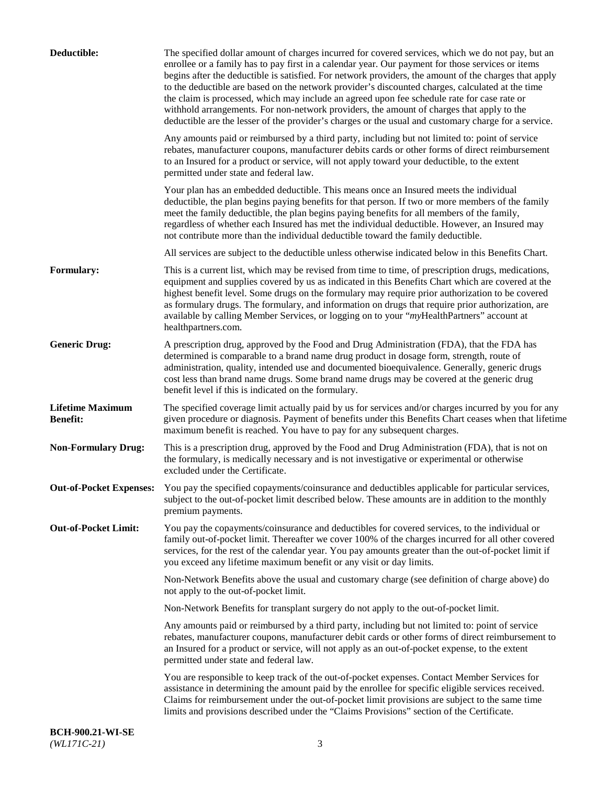| Deductible:                                | The specified dollar amount of charges incurred for covered services, which we do not pay, but an<br>enrollee or a family has to pay first in a calendar year. Our payment for those services or items<br>begins after the deductible is satisfied. For network providers, the amount of the charges that apply<br>to the deductible are based on the network provider's discounted charges, calculated at the time<br>the claim is processed, which may include an agreed upon fee schedule rate for case rate or<br>withhold arrangements. For non-network providers, the amount of charges that apply to the<br>deductible are the lesser of the provider's charges or the usual and customary charge for a service. |
|--------------------------------------------|-------------------------------------------------------------------------------------------------------------------------------------------------------------------------------------------------------------------------------------------------------------------------------------------------------------------------------------------------------------------------------------------------------------------------------------------------------------------------------------------------------------------------------------------------------------------------------------------------------------------------------------------------------------------------------------------------------------------------|
|                                            | Any amounts paid or reimbursed by a third party, including but not limited to: point of service<br>rebates, manufacturer coupons, manufacturer debits cards or other forms of direct reimbursement<br>to an Insured for a product or service, will not apply toward your deductible, to the extent<br>permitted under state and federal law.                                                                                                                                                                                                                                                                                                                                                                            |
|                                            | Your plan has an embedded deductible. This means once an Insured meets the individual<br>deductible, the plan begins paying benefits for that person. If two or more members of the family<br>meet the family deductible, the plan begins paying benefits for all members of the family,<br>regardless of whether each Insured has met the individual deductible. However, an Insured may<br>not contribute more than the individual deductible toward the family deductible.                                                                                                                                                                                                                                           |
|                                            | All services are subject to the deductible unless otherwise indicated below in this Benefits Chart.                                                                                                                                                                                                                                                                                                                                                                                                                                                                                                                                                                                                                     |
| <b>Formulary:</b>                          | This is a current list, which may be revised from time to time, of prescription drugs, medications,<br>equipment and supplies covered by us as indicated in this Benefits Chart which are covered at the<br>highest benefit level. Some drugs on the formulary may require prior authorization to be covered<br>as formulary drugs. The formulary, and information on drugs that require prior authorization, are<br>available by calling Member Services, or logging on to your "myHealthPartners" account at<br>healthpartners.com.                                                                                                                                                                                   |
| <b>Generic Drug:</b>                       | A prescription drug, approved by the Food and Drug Administration (FDA), that the FDA has<br>determined is comparable to a brand name drug product in dosage form, strength, route of<br>administration, quality, intended use and documented bioequivalence. Generally, generic drugs<br>cost less than brand name drugs. Some brand name drugs may be covered at the generic drug<br>benefit level if this is indicated on the formulary.                                                                                                                                                                                                                                                                             |
| <b>Lifetime Maximum</b><br><b>Benefit:</b> | The specified coverage limit actually paid by us for services and/or charges incurred by you for any<br>given procedure or diagnosis. Payment of benefits under this Benefits Chart ceases when that lifetime<br>maximum benefit is reached. You have to pay for any subsequent charges.                                                                                                                                                                                                                                                                                                                                                                                                                                |
| <b>Non-Formulary Drug:</b>                 | This is a prescription drug, approved by the Food and Drug Administration (FDA), that is not on<br>the formulary, is medically necessary and is not investigative or experimental or otherwise<br>excluded under the Certificate.                                                                                                                                                                                                                                                                                                                                                                                                                                                                                       |
|                                            | Out-of-Pocket Expenses: You pay the specified copayments/coinsurance and deductibles applicable for particular services,<br>subject to the out-of-pocket limit described below. These amounts are in addition to the monthly<br>premium payments.                                                                                                                                                                                                                                                                                                                                                                                                                                                                       |
| <b>Out-of-Pocket Limit:</b>                | You pay the copayments/coinsurance and deductibles for covered services, to the individual or<br>family out-of-pocket limit. Thereafter we cover 100% of the charges incurred for all other covered<br>services, for the rest of the calendar year. You pay amounts greater than the out-of-pocket limit if<br>you exceed any lifetime maximum benefit or any visit or day limits.                                                                                                                                                                                                                                                                                                                                      |
|                                            | Non-Network Benefits above the usual and customary charge (see definition of charge above) do<br>not apply to the out-of-pocket limit.                                                                                                                                                                                                                                                                                                                                                                                                                                                                                                                                                                                  |
|                                            | Non-Network Benefits for transplant surgery do not apply to the out-of-pocket limit.                                                                                                                                                                                                                                                                                                                                                                                                                                                                                                                                                                                                                                    |
|                                            | Any amounts paid or reimbursed by a third party, including but not limited to: point of service<br>rebates, manufacturer coupons, manufacturer debit cards or other forms of direct reimbursement to<br>an Insured for a product or service, will not apply as an out-of-pocket expense, to the extent<br>permitted under state and federal law.                                                                                                                                                                                                                                                                                                                                                                        |
|                                            | You are responsible to keep track of the out-of-pocket expenses. Contact Member Services for<br>assistance in determining the amount paid by the enrollee for specific eligible services received.<br>Claims for reimbursement under the out-of-pocket limit provisions are subject to the same time<br>limits and provisions described under the "Claims Provisions" section of the Certificate.                                                                                                                                                                                                                                                                                                                       |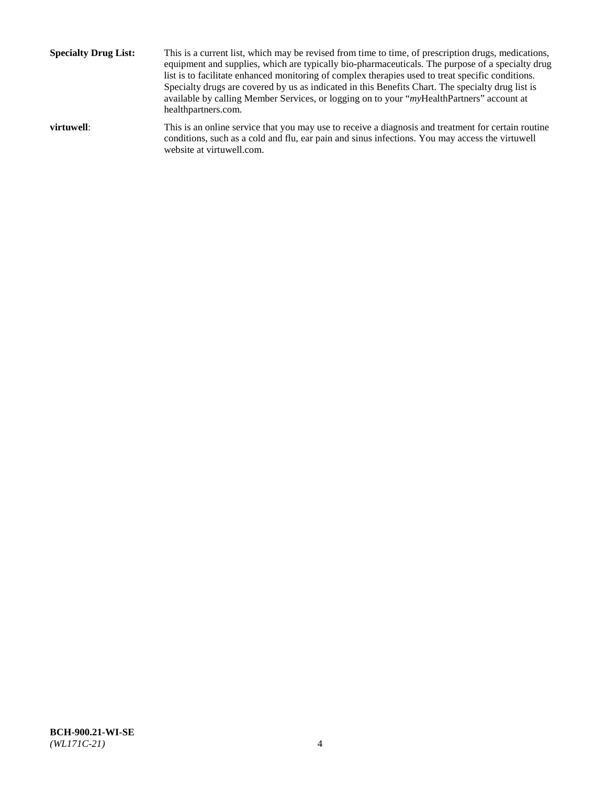**Specialty Drug List:** This is a current list, which may be revised from time to time, of prescription drugs, medications, equipment and supplies, which are typically bio-pharmaceuticals. The purpose of a specialty drug list is to facilitate enhanced monitoring of complex therapies used to treat specific conditions. Specialty drugs are covered by us as indicated in this Benefits Chart. The specialty drug list is available by calling Member Services, or logging on to your "*my*HealthPartners" account at [healthpartners.com.](http://www.healthpartners.com/) **virtuwell:** This is an online service that you may use to receive a diagnosis and treatment for certain routine conditions, such as a cold and flu, ear pain and sinus infections. You may access the virtuwell

website at [virtuwell.com.](http://www.virtuwell.com/)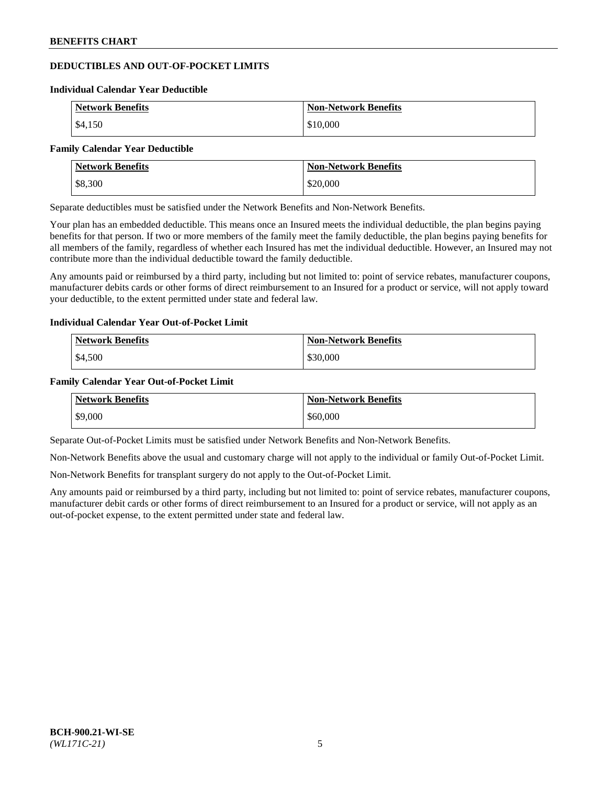## **DEDUCTIBLES AND OUT-OF-POCKET LIMITS**

#### **Individual Calendar Year Deductible**

| <b>Network Benefits</b> | <b>Non-Network Benefits</b> |
|-------------------------|-----------------------------|
| \$4.150                 | \$10,000                    |

#### **Family Calendar Year Deductible**

| <b>Network Benefits</b> | <b>Non-Network Benefits</b> |
|-------------------------|-----------------------------|
| \$8,300                 | \$20,000                    |

Separate deductibles must be satisfied under the Network Benefits and Non-Network Benefits.

Your plan has an embedded deductible. This means once an Insured meets the individual deductible, the plan begins paying benefits for that person. If two or more members of the family meet the family deductible, the plan begins paying benefits for all members of the family, regardless of whether each Insured has met the individual deductible. However, an Insured may not contribute more than the individual deductible toward the family deductible.

Any amounts paid or reimbursed by a third party, including but not limited to: point of service rebates, manufacturer coupons, manufacturer debits cards or other forms of direct reimbursement to an Insured for a product or service, will not apply toward your deductible, to the extent permitted under state and federal law.

## **Individual Calendar Year Out-of-Pocket Limit**

| <b>Network Benefits</b> | <b>Non-Network Benefits</b> |
|-------------------------|-----------------------------|
| \$4,500                 | \$30,000                    |

## **Family Calendar Year Out-of-Pocket Limit**

| <b>Network Benefits</b> | <b>Non-Network Benefits</b> |
|-------------------------|-----------------------------|
| \$9,000                 | \$60,000                    |

Separate Out-of-Pocket Limits must be satisfied under Network Benefits and Non-Network Benefits.

Non-Network Benefits above the usual and customary charge will not apply to the individual or family Out-of-Pocket Limit.

Non-Network Benefits for transplant surgery do not apply to the Out-of-Pocket Limit.

Any amounts paid or reimbursed by a third party, including but not limited to: point of service rebates, manufacturer coupons, manufacturer debit cards or other forms of direct reimbursement to an Insured for a product or service, will not apply as an out-of-pocket expense, to the extent permitted under state and federal law.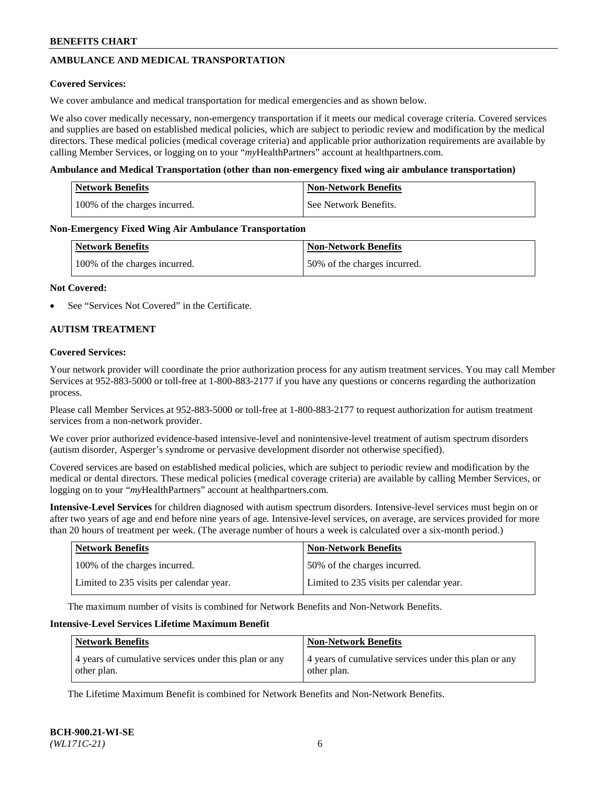## **AMBULANCE AND MEDICAL TRANSPORTATION**

### **Covered Services:**

We cover ambulance and medical transportation for medical emergencies and as shown below.

We also cover medically necessary, non-emergency transportation if it meets our medical coverage criteria. Covered services and supplies are based on established medical policies, which are subject to periodic review and modification by the medical directors. These medical policies (medical coverage criteria) and applicable prior authorization requirements are available by calling Member Services, or logging on to your "*my*HealthPartners" account a[t healthpartners.com.](https://www.healthpartners.com/hp/index.html)

#### **Ambulance and Medical Transportation (other than non-emergency fixed wing air ambulance transportation)**

| <b>Network Benefits</b>       | <b>Non-Network Benefits</b> |
|-------------------------------|-----------------------------|
| 100% of the charges incurred. | See Network Benefits.       |

#### **Non-Emergency Fixed Wing Air Ambulance Transportation**

| <b>Network Benefits</b>       | <b>Non-Network Benefits</b>  |
|-------------------------------|------------------------------|
| 100% of the charges incurred. | 50% of the charges incurred. |

#### **Not Covered:**

See "Services Not Covered" in the Certificate.

## **AUTISM TREATMENT**

#### **Covered Services:**

Your network provider will coordinate the prior authorization process for any autism treatment services. You may call Member Services at 952-883-5000 or toll-free at 1-800-883-2177 if you have any questions or concerns regarding the authorization process.

Please call Member Services at 952-883-5000 or toll-free at 1-800-883-2177 to request authorization for autism treatment services from a non-network provider.

We cover prior authorized evidence-based intensive-level and nonintensive-level treatment of autism spectrum disorders (autism disorder, Asperger's syndrome or pervasive development disorder not otherwise specified).

Covered services are based on established medical policies, which are subject to periodic review and modification by the medical or dental directors. These medical policies (medical coverage criteria) are available by calling Member Services, or logging on to your "*my*HealthPartners" account at [healthpartners.com.](https://www.healthpartners.com/hp/index.html)

**Intensive-Level Services** for children diagnosed with autism spectrum disorders. Intensive-level services must begin on or after two years of age and end before nine years of age. Intensive-level services, on average, are services provided for more than 20 hours of treatment per week. (The average number of hours a week is calculated over a six-month period.)

| <b>Network Benefits</b>                  | <b>Non-Network Benefits</b>              |
|------------------------------------------|------------------------------------------|
| 100% of the charges incurred.            | 50% of the charges incurred.             |
| Limited to 235 visits per calendar year. | Limited to 235 visits per calendar year. |

The maximum number of visits is combined for Network Benefits and Non-Network Benefits.

### **Intensive-Level Services Lifetime Maximum Benefit**

| <b>Network Benefits</b>                                              | <b>Non-Network Benefits</b>                                          |
|----------------------------------------------------------------------|----------------------------------------------------------------------|
| 4 years of cumulative services under this plan or any<br>other plan. | 4 years of cumulative services under this plan or any<br>other plan. |

The Lifetime Maximum Benefit is combined for Network Benefits and Non-Network Benefits.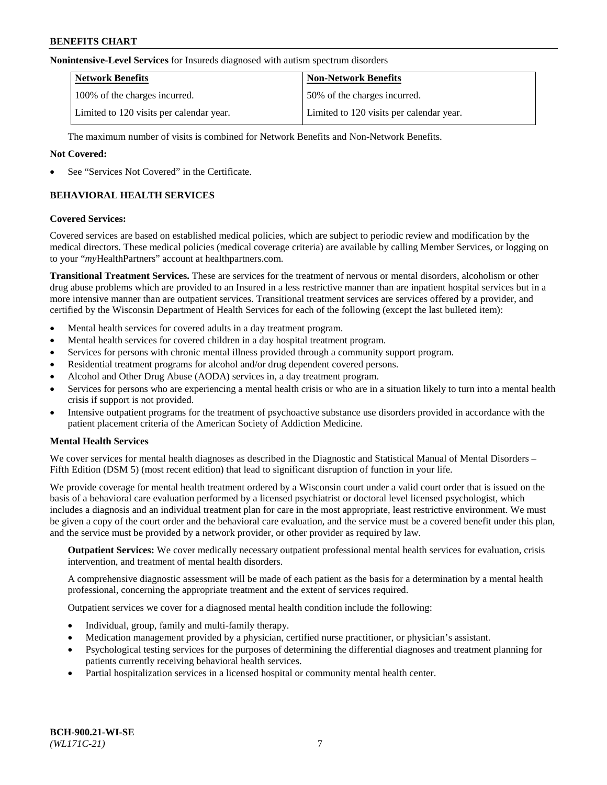#### **Nonintensive-Level Services** for Insureds diagnosed with autism spectrum disorders

| <b>Network Benefits</b>                  | <b>Non-Network Benefits</b>              |
|------------------------------------------|------------------------------------------|
| 100% of the charges incurred.            | 50% of the charges incurred.             |
| Limited to 120 visits per calendar year. | Limited to 120 visits per calendar year. |

The maximum number of visits is combined for Network Benefits and Non-Network Benefits.

### **Not Covered:**

See "Services Not Covered" in the Certificate.

## **BEHAVIORAL HEALTH SERVICES**

#### **Covered Services:**

Covered services are based on established medical policies, which are subject to periodic review and modification by the medical directors. These medical policies (medical coverage criteria) are available by calling Member Services, or logging on to your "*my*HealthPartners" account at [healthpartners.com.](https://www.healthpartners.com/hp/index.html)

**Transitional Treatment Services.** These are services for the treatment of nervous or mental disorders, alcoholism or other drug abuse problems which are provided to an Insured in a less restrictive manner than are inpatient hospital services but in a more intensive manner than are outpatient services. Transitional treatment services are services offered by a provider, and certified by the Wisconsin Department of Health Services for each of the following (except the last bulleted item):

- Mental health services for covered adults in a day treatment program.
- Mental health services for covered children in a day hospital treatment program.
- Services for persons with chronic mental illness provided through a community support program.
- Residential treatment programs for alcohol and/or drug dependent covered persons.
- Alcohol and Other Drug Abuse (AODA) services in, a day treatment program.
- Services for persons who are experiencing a mental health crisis or who are in a situation likely to turn into a mental health crisis if support is not provided.
- Intensive outpatient programs for the treatment of psychoactive substance use disorders provided in accordance with the patient placement criteria of the American Society of Addiction Medicine.

## **Mental Health Services**

We cover services for mental health diagnoses as described in the Diagnostic and Statistical Manual of Mental Disorders – Fifth Edition (DSM 5) (most recent edition) that lead to significant disruption of function in your life.

We provide coverage for mental health treatment ordered by a Wisconsin court under a valid court order that is issued on the basis of a behavioral care evaluation performed by a licensed psychiatrist or doctoral level licensed psychologist, which includes a diagnosis and an individual treatment plan for care in the most appropriate, least restrictive environment. We must be given a copy of the court order and the behavioral care evaluation, and the service must be a covered benefit under this plan, and the service must be provided by a network provider, or other provider as required by law.

**Outpatient Services:** We cover medically necessary outpatient professional mental health services for evaluation, crisis intervention, and treatment of mental health disorders.

A comprehensive diagnostic assessment will be made of each patient as the basis for a determination by a mental health professional, concerning the appropriate treatment and the extent of services required.

Outpatient services we cover for a diagnosed mental health condition include the following:

- Individual, group, family and multi-family therapy.
- Medication management provided by a physician, certified nurse practitioner, or physician's assistant.
- Psychological testing services for the purposes of determining the differential diagnoses and treatment planning for patients currently receiving behavioral health services.
- Partial hospitalization services in a licensed hospital or community mental health center.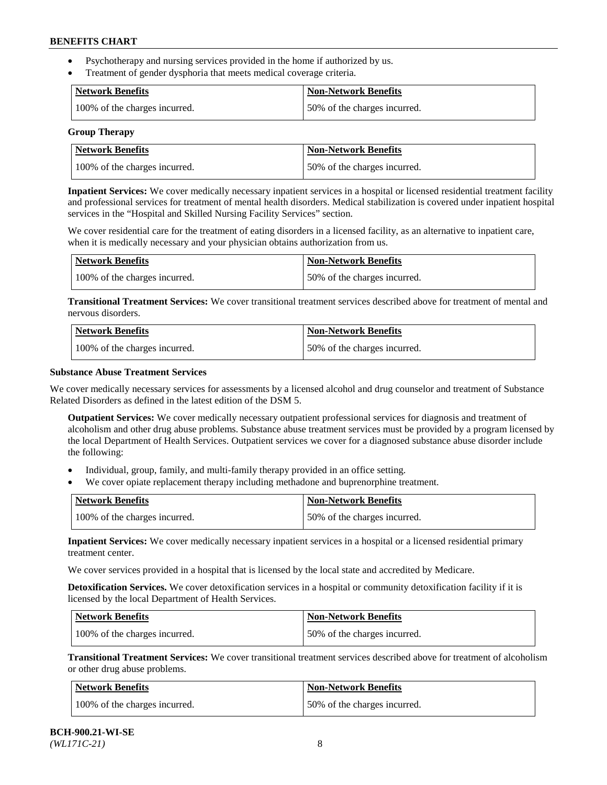- Psychotherapy and nursing services provided in the home if authorized by us.
- Treatment of gender dysphoria that meets medical coverage criteria.

| <b>Network Benefits</b>       | Non-Network Benefits         |
|-------------------------------|------------------------------|
| 100% of the charges incurred. | 50% of the charges incurred. |

#### **Group Therapy**

| Network Benefits              | <b>Non-Network Benefits</b>  |
|-------------------------------|------------------------------|
| 100% of the charges incurred. | 50% of the charges incurred. |

**Inpatient Services:** We cover medically necessary inpatient services in a hospital or licensed residential treatment facility and professional services for treatment of mental health disorders. Medical stabilization is covered under inpatient hospital services in the "Hospital and Skilled Nursing Facility Services" section.

We cover residential care for the treatment of eating disorders in a licensed facility, as an alternative to inpatient care, when it is medically necessary and your physician obtains authorization from us.

| <b>Network Benefits</b>       | <b>Non-Network Benefits</b>  |
|-------------------------------|------------------------------|
| 100% of the charges incurred. | 50% of the charges incurred. |

**Transitional Treatment Services:** We cover transitional treatment services described above for treatment of mental and nervous disorders.

| <b>Network Benefits</b>       | <b>Non-Network Benefits</b>  |
|-------------------------------|------------------------------|
| 100% of the charges incurred. | 50% of the charges incurred. |

#### **Substance Abuse Treatment Services**

We cover medically necessary services for assessments by a licensed alcohol and drug counselor and treatment of Substance Related Disorders as defined in the latest edition of the DSM 5.

**Outpatient Services:** We cover medically necessary outpatient professional services for diagnosis and treatment of alcoholism and other drug abuse problems. Substance abuse treatment services must be provided by a program licensed by the local Department of Health Services. Outpatient services we cover for a diagnosed substance abuse disorder include the following:

- Individual, group, family, and multi-family therapy provided in an office setting.
- We cover opiate replacement therapy including methadone and buprenorphine treatment.

| <b>Network Benefits</b>       | <b>Non-Network Benefits</b>  |
|-------------------------------|------------------------------|
| 100% of the charges incurred. | 50% of the charges incurred. |

**Inpatient Services:** We cover medically necessary inpatient services in a hospital or a licensed residential primary treatment center.

We cover services provided in a hospital that is licensed by the local state and accredited by Medicare.

**Detoxification Services.** We cover detoxification services in a hospital or community detoxification facility if it is licensed by the local Department of Health Services.

| Network Benefits              | <b>Non-Network Benefits</b>  |
|-------------------------------|------------------------------|
| 100% of the charges incurred. | 50% of the charges incurred. |

**Transitional Treatment Services:** We cover transitional treatment services described above for treatment of alcoholism or other drug abuse problems.

| Network Benefits              | <b>Non-Network Benefits</b>  |
|-------------------------------|------------------------------|
| 100% of the charges incurred. | 50% of the charges incurred. |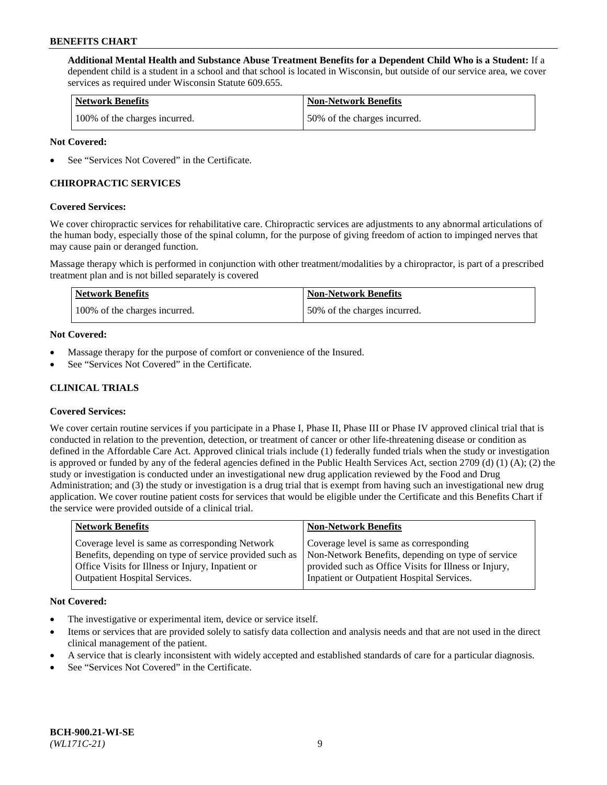**Additional Mental Health and Substance Abuse Treatment Benefits for a Dependent Child Who is a Student:** If a dependent child is a student in a school and that school is located in Wisconsin, but outside of our service area, we cover services as required under Wisconsin Statute 609.655.

| <b>Network Benefits</b>       | <b>Non-Network Benefits</b>  |
|-------------------------------|------------------------------|
| 100% of the charges incurred. | 50% of the charges incurred. |

### **Not Covered:**

See "Services Not Covered" in the Certificate.

## **CHIROPRACTIC SERVICES**

#### **Covered Services:**

We cover chiropractic services for rehabilitative care. Chiropractic services are adjustments to any abnormal articulations of the human body, especially those of the spinal column, for the purpose of giving freedom of action to impinged nerves that may cause pain or deranged function.

Massage therapy which is performed in conjunction with other treatment/modalities by a chiropractor, is part of a prescribed treatment plan and is not billed separately is covered

| <b>Network Benefits</b>       | <b>Non-Network Benefits</b>  |
|-------------------------------|------------------------------|
| 100% of the charges incurred. | 50% of the charges incurred. |

#### **Not Covered:**

- Massage therapy for the purpose of comfort or convenience of the Insured.
- See "Services Not Covered" in the Certificate.

## **CLINICAL TRIALS**

## **Covered Services:**

We cover certain routine services if you participate in a Phase I, Phase II, Phase III or Phase IV approved clinical trial that is conducted in relation to the prevention, detection, or treatment of cancer or other life-threatening disease or condition as defined in the Affordable Care Act. Approved clinical trials include (1) federally funded trials when the study or investigation is approved or funded by any of the federal agencies defined in the Public Health Services Act, section 2709 (d) (1) (A); (2) the study or investigation is conducted under an investigational new drug application reviewed by the Food and Drug Administration; and (3) the study or investigation is a drug trial that is exempt from having such an investigational new drug application. We cover routine patient costs for services that would be eligible under the Certificate and this Benefits Chart if the service were provided outside of a clinical trial.

| <b>Network Benefits</b>                                                                                                                                                                                 | <b>Non-Network Benefits</b>                                                                                                                                                                          |
|---------------------------------------------------------------------------------------------------------------------------------------------------------------------------------------------------------|------------------------------------------------------------------------------------------------------------------------------------------------------------------------------------------------------|
| Coverage level is same as corresponding Network<br>Benefits, depending on type of service provided such as<br>Office Visits for Illness or Injury, Inpatient or<br><b>Outpatient Hospital Services.</b> | Coverage level is same as corresponding<br>Non-Network Benefits, depending on type of service<br>provided such as Office Visits for Illness or Injury,<br>Inpatient or Outpatient Hospital Services. |
|                                                                                                                                                                                                         |                                                                                                                                                                                                      |

#### **Not Covered:**

- The investigative or experimental item, device or service itself.
- Items or services that are provided solely to satisfy data collection and analysis needs and that are not used in the direct clinical management of the patient.
- A service that is clearly inconsistent with widely accepted and established standards of care for a particular diagnosis.
- See "Services Not Covered" in the Certificate.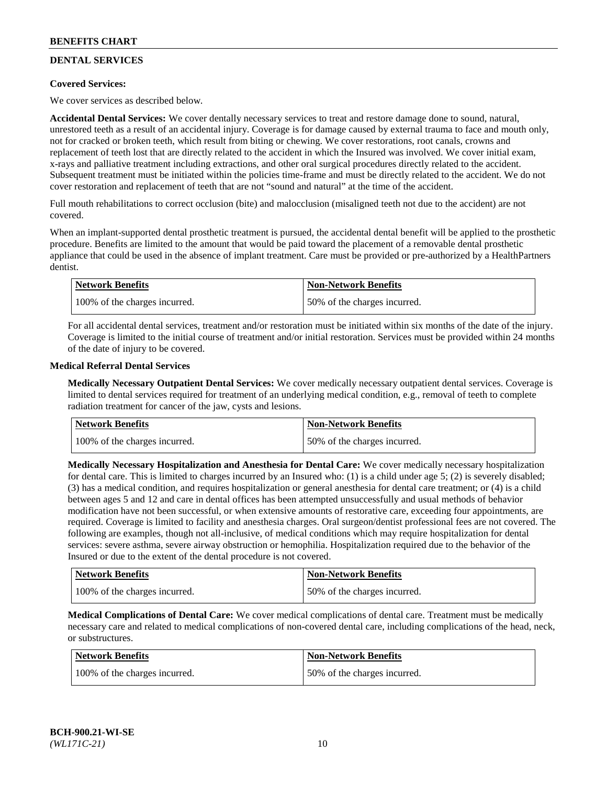## **DENTAL SERVICES**

## **Covered Services:**

We cover services as described below.

**Accidental Dental Services:** We cover dentally necessary services to treat and restore damage done to sound, natural, unrestored teeth as a result of an accidental injury. Coverage is for damage caused by external trauma to face and mouth only, not for cracked or broken teeth, which result from biting or chewing. We cover restorations, root canals, crowns and replacement of teeth lost that are directly related to the accident in which the Insured was involved. We cover initial exam, x-rays and palliative treatment including extractions, and other oral surgical procedures directly related to the accident. Subsequent treatment must be initiated within the policies time-frame and must be directly related to the accident. We do not cover restoration and replacement of teeth that are not "sound and natural" at the time of the accident.

Full mouth rehabilitations to correct occlusion (bite) and malocclusion (misaligned teeth not due to the accident) are not covered.

When an implant-supported dental prosthetic treatment is pursued, the accidental dental benefit will be applied to the prosthetic procedure. Benefits are limited to the amount that would be paid toward the placement of a removable dental prosthetic appliance that could be used in the absence of implant treatment. Care must be provided or pre-authorized by a HealthPartners dentist.

| <b>Network Benefits</b>       | <b>Non-Network Benefits</b>  |
|-------------------------------|------------------------------|
| 100% of the charges incurred. | 50% of the charges incurred. |

For all accidental dental services, treatment and/or restoration must be initiated within six months of the date of the injury. Coverage is limited to the initial course of treatment and/or initial restoration. Services must be provided within 24 months of the date of injury to be covered.

#### **Medical Referral Dental Services**

**Medically Necessary Outpatient Dental Services:** We cover medically necessary outpatient dental services. Coverage is limited to dental services required for treatment of an underlying medical condition, e.g., removal of teeth to complete radiation treatment for cancer of the jaw, cysts and lesions.

| <b>Network Benefits</b>       | <b>Non-Network Benefits</b>  |
|-------------------------------|------------------------------|
| 100% of the charges incurred. | 50% of the charges incurred. |

**Medically Necessary Hospitalization and Anesthesia for Dental Care:** We cover medically necessary hospitalization for dental care. This is limited to charges incurred by an Insured who: (1) is a child under age  $5$ ; (2) is severely disabled; (3) has a medical condition, and requires hospitalization or general anesthesia for dental care treatment; or (4) is a child between ages 5 and 12 and care in dental offices has been attempted unsuccessfully and usual methods of behavior modification have not been successful, or when extensive amounts of restorative care, exceeding four appointments, are required. Coverage is limited to facility and anesthesia charges. Oral surgeon/dentist professional fees are not covered. The following are examples, though not all-inclusive, of medical conditions which may require hospitalization for dental services: severe asthma, severe airway obstruction or hemophilia. Hospitalization required due to the behavior of the Insured or due to the extent of the dental procedure is not covered.

| <b>Network Benefits</b>       | <b>Non-Network Benefits</b>  |
|-------------------------------|------------------------------|
| 100% of the charges incurred. | 50% of the charges incurred. |

**Medical Complications of Dental Care:** We cover medical complications of dental care. Treatment must be medically necessary care and related to medical complications of non-covered dental care, including complications of the head, neck, or substructures.

| Network Benefits              | <b>Non-Network Benefits</b>  |
|-------------------------------|------------------------------|
| 100% of the charges incurred. | 50% of the charges incurred. |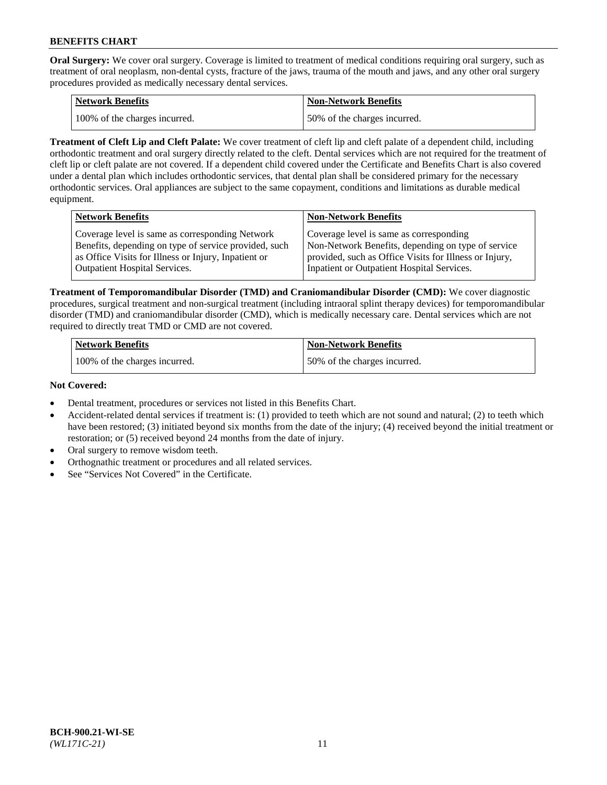**Oral Surgery:** We cover oral surgery. Coverage is limited to treatment of medical conditions requiring oral surgery, such as treatment of oral neoplasm, non-dental cysts, fracture of the jaws, trauma of the mouth and jaws, and any other oral surgery procedures provided as medically necessary dental services.

| <b>Network Benefits</b>       | Non-Network Benefits         |
|-------------------------------|------------------------------|
| 100% of the charges incurred. | 50% of the charges incurred. |

**Treatment of Cleft Lip and Cleft Palate:** We cover treatment of cleft lip and cleft palate of a dependent child, including orthodontic treatment and oral surgery directly related to the cleft. Dental services which are not required for the treatment of cleft lip or cleft palate are not covered. If a dependent child covered under the Certificate and Benefits Chart is also covered under a dental plan which includes orthodontic services, that dental plan shall be considered primary for the necessary orthodontic services. Oral appliances are subject to the same copayment, conditions and limitations as durable medical equipment.

| <b>Network Benefits</b>                               | <b>Non-Network Benefits</b>                            |
|-------------------------------------------------------|--------------------------------------------------------|
| Coverage level is same as corresponding Network       | Coverage level is same as corresponding                |
| Benefits, depending on type of service provided, such | Non-Network Benefits, depending on type of service     |
| as Office Visits for Illness or Injury, Inpatient or  | provided, such as Office Visits for Illness or Injury, |
| Outpatient Hospital Services.                         | Inpatient or Outpatient Hospital Services.             |

**Treatment of Temporomandibular Disorder (TMD) and Craniomandibular Disorder (CMD):** We cover diagnostic procedures, surgical treatment and non-surgical treatment (including intraoral splint therapy devices) for temporomandibular disorder (TMD) and craniomandibular disorder (CMD), which is medically necessary care. Dental services which are not required to directly treat TMD or CMD are not covered.

| <b>Network Benefits</b>       | <b>Non-Network Benefits</b>  |
|-------------------------------|------------------------------|
| 100% of the charges incurred. | 50% of the charges incurred. |

#### **Not Covered:**

- Dental treatment, procedures or services not listed in this Benefits Chart.
- Accident-related dental services if treatment is: (1) provided to teeth which are not sound and natural; (2) to teeth which have been restored; (3) initiated beyond six months from the date of the injury; (4) received beyond the initial treatment or restoration; or (5) received beyond 24 months from the date of injury.
- Oral surgery to remove wisdom teeth.
- Orthognathic treatment or procedures and all related services.
- See "Services Not Covered" in the Certificate.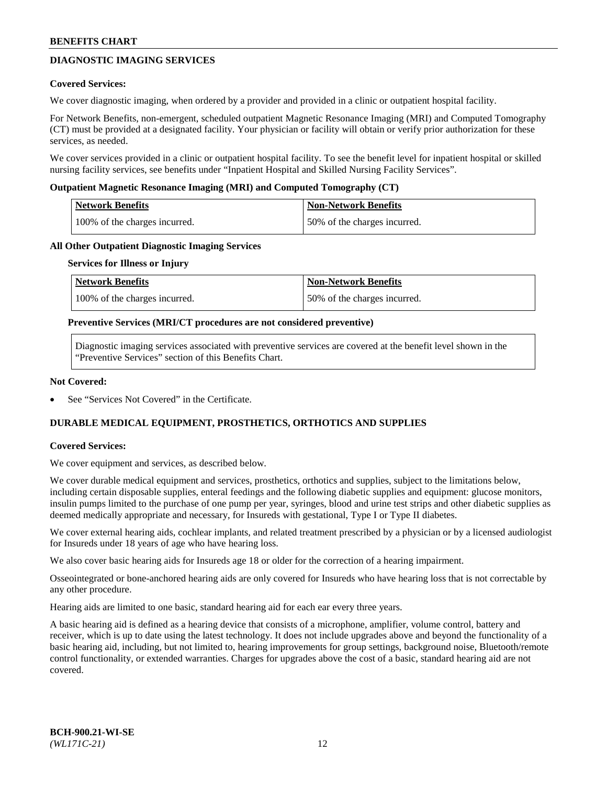## **DIAGNOSTIC IMAGING SERVICES**

#### **Covered Services:**

We cover diagnostic imaging, when ordered by a provider and provided in a clinic or outpatient hospital facility.

For Network Benefits, non-emergent, scheduled outpatient Magnetic Resonance Imaging (MRI) and Computed Tomography (CT) must be provided at a designated facility. Your physician or facility will obtain or verify prior authorization for these services, as needed.

We cover services provided in a clinic or outpatient hospital facility. To see the benefit level for inpatient hospital or skilled nursing facility services, see benefits under "Inpatient Hospital and Skilled Nursing Facility Services".

### **Outpatient Magnetic Resonance Imaging (MRI) and Computed Tomography (CT)**

| <b>Network Benefits</b>       | <b>Non-Network Benefits</b>  |
|-------------------------------|------------------------------|
| 100% of the charges incurred. | 50% of the charges incurred. |

#### **All Other Outpatient Diagnostic Imaging Services**

#### **Services for Illness or Injury**

| Network Benefits              | <b>Non-Network Benefits</b>  |
|-------------------------------|------------------------------|
| 100% of the charges incurred. | 50% of the charges incurred. |

#### **Preventive Services (MRI/CT procedures are not considered preventive)**

Diagnostic imaging services associated with preventive services are covered at the benefit level shown in the "Preventive Services" section of this Benefits Chart.

#### **Not Covered:**

See "Services Not Covered" in the Certificate.

## **DURABLE MEDICAL EQUIPMENT, PROSTHETICS, ORTHOTICS AND SUPPLIES**

#### **Covered Services:**

We cover equipment and services, as described below.

We cover durable medical equipment and services, prosthetics, orthotics and supplies, subject to the limitations below, including certain disposable supplies, enteral feedings and the following diabetic supplies and equipment: glucose monitors, insulin pumps limited to the purchase of one pump per year, syringes, blood and urine test strips and other diabetic supplies as deemed medically appropriate and necessary, for Insureds with gestational, Type I or Type II diabetes.

We cover external hearing aids, cochlear implants, and related treatment prescribed by a physician or by a licensed audiologist for Insureds under 18 years of age who have hearing loss.

We also cover basic hearing aids for Insureds age 18 or older for the correction of a hearing impairment.

Osseointegrated or bone-anchored hearing aids are only covered for Insureds who have hearing loss that is not correctable by any other procedure.

Hearing aids are limited to one basic, standard hearing aid for each ear every three years.

A basic hearing aid is defined as a hearing device that consists of a microphone, amplifier, volume control, battery and receiver, which is up to date using the latest technology. It does not include upgrades above and beyond the functionality of a basic hearing aid, including, but not limited to, hearing improvements for group settings, background noise, Bluetooth/remote control functionality, or extended warranties. Charges for upgrades above the cost of a basic, standard hearing aid are not covered.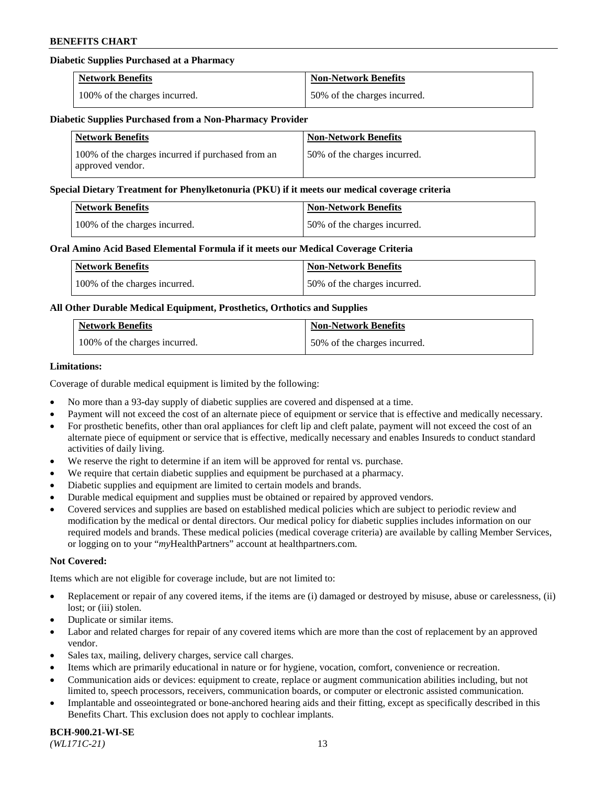## **Diabetic Supplies Purchased at a Pharmacy**

| <b>Network Benefits</b>       | <b>Non-Network Benefits</b>  |
|-------------------------------|------------------------------|
| 100% of the charges incurred. | 50% of the charges incurred. |

#### **Diabetic Supplies Purchased from a Non-Pharmacy Provider**

| <b>Network Benefits</b>                                               | <b>Non-Network Benefits</b>  |
|-----------------------------------------------------------------------|------------------------------|
| 100% of the charges incurred if purchased from an<br>approved vendor. | 50% of the charges incurred. |

#### **Special Dietary Treatment for Phenylketonuria (PKU) if it meets our medical coverage criteria**

| Network Benefits              | <b>Non-Network Benefits</b>  |
|-------------------------------|------------------------------|
| 100% of the charges incurred. | 50% of the charges incurred. |

#### **Oral Amino Acid Based Elemental Formula if it meets our Medical Coverage Criteria**

| Network Benefits              | <b>Non-Network Benefits</b>  |
|-------------------------------|------------------------------|
| 100% of the charges incurred. | 50% of the charges incurred. |

## **All Other Durable Medical Equipment, Prosthetics, Orthotics and Supplies**

| <b>Network Benefits</b>       | <b>Non-Network Benefits</b>  |
|-------------------------------|------------------------------|
| 100% of the charges incurred. | 50% of the charges incurred. |

#### **Limitations:**

Coverage of durable medical equipment is limited by the following:

- No more than a 93-day supply of diabetic supplies are covered and dispensed at a time.
- Payment will not exceed the cost of an alternate piece of equipment or service that is effective and medically necessary.
- For prosthetic benefits, other than oral appliances for cleft lip and cleft palate, payment will not exceed the cost of an alternate piece of equipment or service that is effective, medically necessary and enables Insureds to conduct standard activities of daily living.
- We reserve the right to determine if an item will be approved for rental vs. purchase.
- We require that certain diabetic supplies and equipment be purchased at a pharmacy.
- Diabetic supplies and equipment are limited to certain models and brands.
- Durable medical equipment and supplies must be obtained or repaired by approved vendors.
- Covered services and supplies are based on established medical policies which are subject to periodic review and modification by the medical or dental directors. Our medical policy for diabetic supplies includes information on our required models and brands. These medical policies (medical coverage criteria) are available by calling Member Services, or logging on to your "*my*HealthPartners" account a[t healthpartners.com.](https://www.healthpartners.com/hp/index.html)

## **Not Covered:**

Items which are not eligible for coverage include, but are not limited to:

- Replacement or repair of any covered items, if the items are (i) damaged or destroyed by misuse, abuse or carelessness, (ii) lost; or (iii) stolen.
- Duplicate or similar items.
- Labor and related charges for repair of any covered items which are more than the cost of replacement by an approved vendor.
- Sales tax, mailing, delivery charges, service call charges.
- Items which are primarily educational in nature or for hygiene, vocation, comfort, convenience or recreation.
- Communication aids or devices: equipment to create, replace or augment communication abilities including, but not limited to, speech processors, receivers, communication boards, or computer or electronic assisted communication.
- Implantable and osseointegrated or bone-anchored hearing aids and their fitting, except as specifically described in this Benefits Chart. This exclusion does not apply to cochlear implants.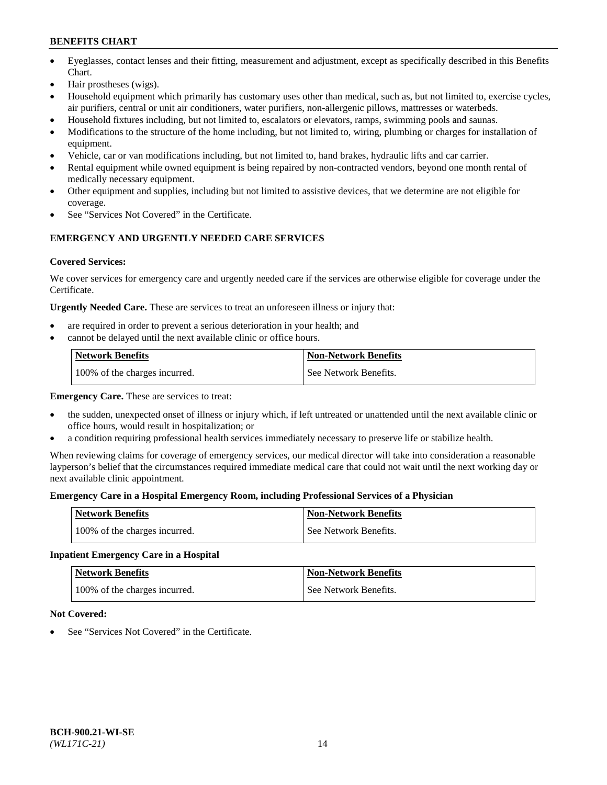- Eyeglasses, contact lenses and their fitting, measurement and adjustment, except as specifically described in this Benefits Chart.
- Hair prostheses (wigs).
- Household equipment which primarily has customary uses other than medical, such as, but not limited to, exercise cycles, air purifiers, central or unit air conditioners, water purifiers, non-allergenic pillows, mattresses or waterbeds.
- Household fixtures including, but not limited to, escalators or elevators, ramps, swimming pools and saunas.
- Modifications to the structure of the home including, but not limited to, wiring, plumbing or charges for installation of equipment.
- Vehicle, car or van modifications including, but not limited to, hand brakes, hydraulic lifts and car carrier.
- Rental equipment while owned equipment is being repaired by non-contracted vendors, beyond one month rental of medically necessary equipment.
- Other equipment and supplies, including but not limited to assistive devices, that we determine are not eligible for coverage.
- See "Services Not Covered" in the Certificate.

## **EMERGENCY AND URGENTLY NEEDED CARE SERVICES**

## **Covered Services:**

We cover services for emergency care and urgently needed care if the services are otherwise eligible for coverage under the Certificate.

**Urgently Needed Care.** These are services to treat an unforeseen illness or injury that:

- are required in order to prevent a serious deterioration in your health; and
- cannot be delayed until the next available clinic or office hours.

| <b>Network Benefits</b>       | <b>Non-Network Benefits</b> |
|-------------------------------|-----------------------------|
| 100% of the charges incurred. | See Network Benefits.       |

**Emergency Care.** These are services to treat:

- the sudden, unexpected onset of illness or injury which, if left untreated or unattended until the next available clinic or office hours, would result in hospitalization; or
- a condition requiring professional health services immediately necessary to preserve life or stabilize health.

When reviewing claims for coverage of emergency services, our medical director will take into consideration a reasonable layperson's belief that the circumstances required immediate medical care that could not wait until the next working day or next available clinic appointment.

## **Emergency Care in a Hospital Emergency Room, including Professional Services of a Physician**

| <b>Network Benefits</b>       | <b>Non-Network Benefits</b> |
|-------------------------------|-----------------------------|
| 100% of the charges incurred. | See Network Benefits.       |

## **Inpatient Emergency Care in a Hospital**

| <b>Network Benefits</b>       | <b>Non-Network Benefits</b> |
|-------------------------------|-----------------------------|
| 100% of the charges incurred. | See Network Benefits.       |

## **Not Covered:**

See "Services Not Covered" in the Certificate.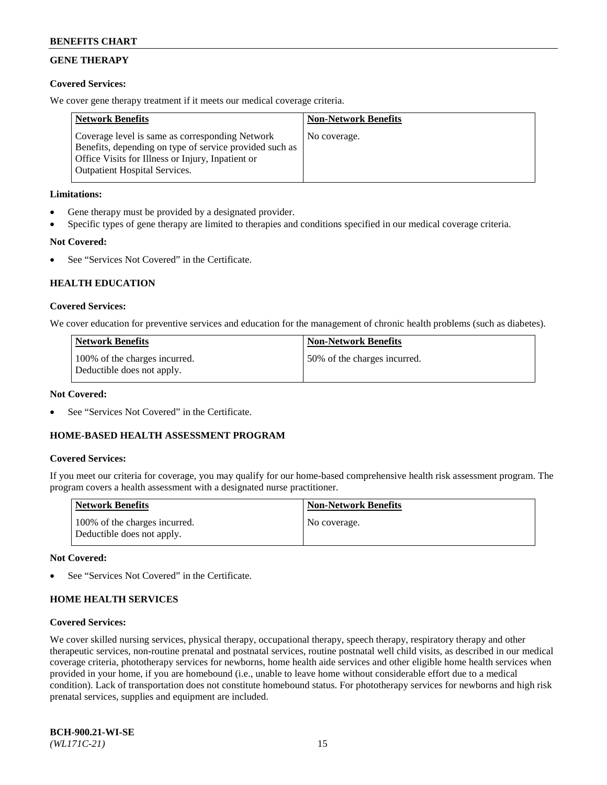## **GENE THERAPY**

## **Covered Services:**

We cover gene therapy treatment if it meets our medical coverage criteria.

| <b>Network Benefits</b>                                                                                                                                                                                 | <b>Non-Network Benefits</b> |
|---------------------------------------------------------------------------------------------------------------------------------------------------------------------------------------------------------|-----------------------------|
| Coverage level is same as corresponding Network<br>Benefits, depending on type of service provided such as<br>Office Visits for Illness or Injury, Inpatient or<br><b>Outpatient Hospital Services.</b> | No coverage.                |

## **Limitations:**

- Gene therapy must be provided by a designated provider.
- Specific types of gene therapy are limited to therapies and conditions specified in our medical coverage criteria.

## **Not Covered:**

See "Services Not Covered" in the Certificate.

## **HEALTH EDUCATION**

#### **Covered Services:**

We cover education for preventive services and education for the management of chronic health problems (such as diabetes).

| <b>Network Benefits</b>                                     | <b>Non-Network Benefits</b>  |
|-------------------------------------------------------------|------------------------------|
| 100% of the charges incurred.<br>Deductible does not apply. | 50% of the charges incurred. |

#### **Not Covered:**

See "Services Not Covered" in the Certificate.

## **HOME-BASED HEALTH ASSESSMENT PROGRAM**

#### **Covered Services:**

If you meet our criteria for coverage, you may qualify for our home-based comprehensive health risk assessment program. The program covers a health assessment with a designated nurse practitioner.

| <b>Network Benefits</b>                                     | <b>Non-Network Benefits</b> |
|-------------------------------------------------------------|-----------------------------|
| 100% of the charges incurred.<br>Deductible does not apply. | No coverage.                |

#### **Not Covered:**

See "Services Not Covered" in the Certificate.

## **HOME HEALTH SERVICES**

#### **Covered Services:**

We cover skilled nursing services, physical therapy, occupational therapy, speech therapy, respiratory therapy and other therapeutic services, non-routine prenatal and postnatal services, routine postnatal well child visits, as described in our medical coverage criteria, phototherapy services for newborns, home health aide services and other eligible home health services when provided in your home, if you are homebound (i.e., unable to leave home without considerable effort due to a medical condition). Lack of transportation does not constitute homebound status. For phototherapy services for newborns and high risk prenatal services, supplies and equipment are included.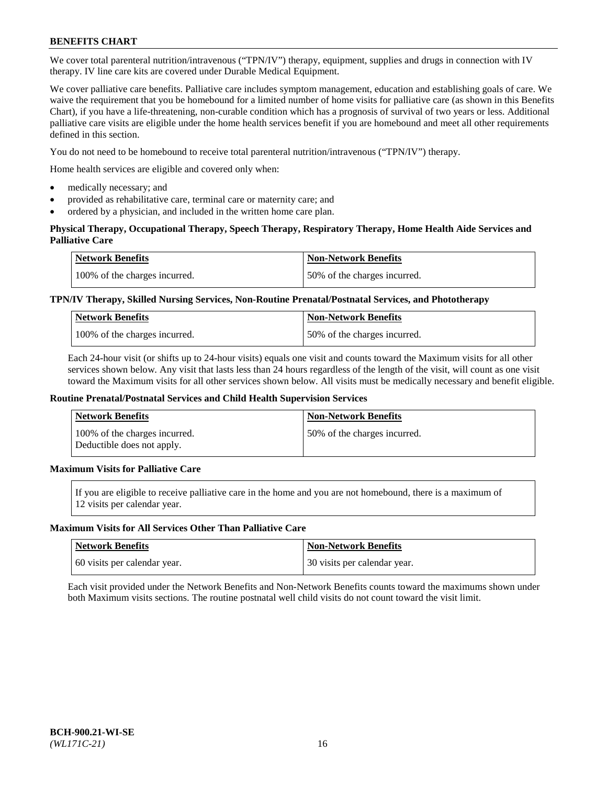We cover total parenteral nutrition/intravenous ("TPN/IV") therapy, equipment, supplies and drugs in connection with IV therapy. IV line care kits are covered under Durable Medical Equipment.

We cover palliative care benefits. Palliative care includes symptom management, education and establishing goals of care. We waive the requirement that you be homebound for a limited number of home visits for palliative care (as shown in this Benefits Chart), if you have a life-threatening, non-curable condition which has a prognosis of survival of two years or less. Additional palliative care visits are eligible under the home health services benefit if you are homebound and meet all other requirements defined in this section.

You do not need to be homebound to receive total parenteral nutrition/intravenous ("TPN/IV") therapy.

Home health services are eligible and covered only when:

- medically necessary; and
- provided as rehabilitative care, terminal care or maternity care; and
- ordered by a physician, and included in the written home care plan.

## **Physical Therapy, Occupational Therapy, Speech Therapy, Respiratory Therapy, Home Health Aide Services and Palliative Care**

| <b>Network Benefits</b>       | <b>Non-Network Benefits</b>  |
|-------------------------------|------------------------------|
| 100% of the charges incurred. | 50% of the charges incurred. |

## **TPN/IV Therapy, Skilled Nursing Services, Non-Routine Prenatal/Postnatal Services, and Phototherapy**

| <b>Network Benefits</b>       | <b>Non-Network Benefits</b>  |
|-------------------------------|------------------------------|
| 100% of the charges incurred. | 50% of the charges incurred. |

Each 24-hour visit (or shifts up to 24-hour visits) equals one visit and counts toward the Maximum visits for all other services shown below. Any visit that lasts less than 24 hours regardless of the length of the visit, will count as one visit toward the Maximum visits for all other services shown below. All visits must be medically necessary and benefit eligible.

#### **Routine Prenatal/Postnatal Services and Child Health Supervision Services**

| Network Benefits                                            | <b>Non-Network Benefits</b>  |
|-------------------------------------------------------------|------------------------------|
| 100% of the charges incurred.<br>Deductible does not apply. | 50% of the charges incurred. |

## **Maximum Visits for Palliative Care**

If you are eligible to receive palliative care in the home and you are not homebound, there is a maximum of 12 visits per calendar year.

#### **Maximum Visits for All Services Other Than Palliative Care**

| Network Benefits             | <b>Non-Network Benefits</b>    |
|------------------------------|--------------------------------|
| 60 visits per calendar year. | 1 30 visits per calendar year. |

Each visit provided under the Network Benefits and Non-Network Benefits counts toward the maximums shown under both Maximum visits sections. The routine postnatal well child visits do not count toward the visit limit.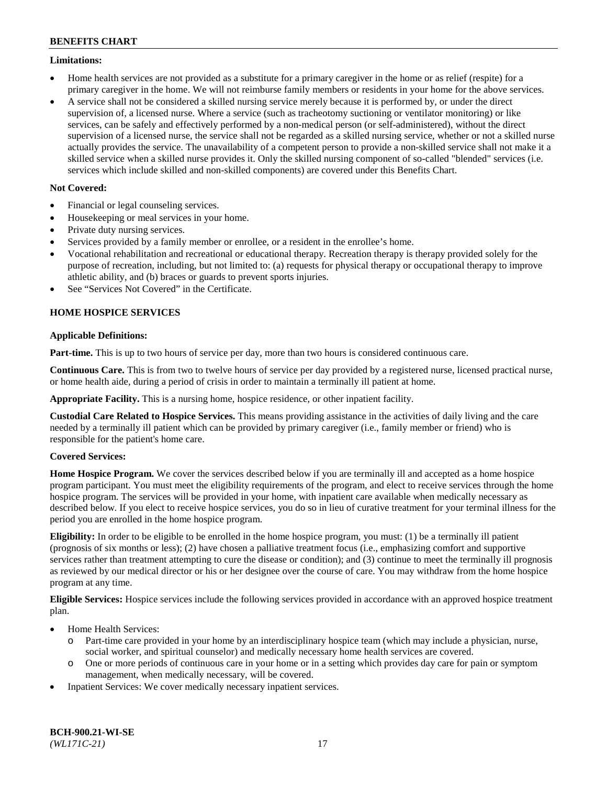### **Limitations:**

- Home health services are not provided as a substitute for a primary caregiver in the home or as relief (respite) for a primary caregiver in the home. We will not reimburse family members or residents in your home for the above services.
- A service shall not be considered a skilled nursing service merely because it is performed by, or under the direct supervision of, a licensed nurse. Where a service (such as tracheotomy suctioning or ventilator monitoring) or like services, can be safely and effectively performed by a non-medical person (or self-administered), without the direct supervision of a licensed nurse, the service shall not be regarded as a skilled nursing service, whether or not a skilled nurse actually provides the service. The unavailability of a competent person to provide a non-skilled service shall not make it a skilled service when a skilled nurse provides it. Only the skilled nursing component of so-called "blended" services (i.e. services which include skilled and non-skilled components) are covered under this Benefits Chart.

## **Not Covered:**

- Financial or legal counseling services.
- Housekeeping or meal services in your home.
- Private duty nursing services.
- Services provided by a family member or enrollee, or a resident in the enrollee's home.
- Vocational rehabilitation and recreational or educational therapy. Recreation therapy is therapy provided solely for the purpose of recreation, including, but not limited to: (a) requests for physical therapy or occupational therapy to improve athletic ability, and (b) braces or guards to prevent sports injuries.
- See "Services Not Covered" in the Certificate.

## **HOME HOSPICE SERVICES**

## **Applicable Definitions:**

**Part-time.** This is up to two hours of service per day, more than two hours is considered continuous care.

**Continuous Care.** This is from two to twelve hours of service per day provided by a registered nurse, licensed practical nurse, or home health aide, during a period of crisis in order to maintain a terminally ill patient at home.

**Appropriate Facility.** This is a nursing home, hospice residence, or other inpatient facility.

**Custodial Care Related to Hospice Services.** This means providing assistance in the activities of daily living and the care needed by a terminally ill patient which can be provided by primary caregiver (i.e., family member or friend) who is responsible for the patient's home care.

## **Covered Services:**

**Home Hospice Program.** We cover the services described below if you are terminally ill and accepted as a home hospice program participant. You must meet the eligibility requirements of the program, and elect to receive services through the home hospice program. The services will be provided in your home, with inpatient care available when medically necessary as described below. If you elect to receive hospice services, you do so in lieu of curative treatment for your terminal illness for the period you are enrolled in the home hospice program.

**Eligibility:** In order to be eligible to be enrolled in the home hospice program, you must: (1) be a terminally ill patient (prognosis of six months or less); (2) have chosen a palliative treatment focus (i.e., emphasizing comfort and supportive services rather than treatment attempting to cure the disease or condition); and (3) continue to meet the terminally ill prognosis as reviewed by our medical director or his or her designee over the course of care. You may withdraw from the home hospice program at any time.

**Eligible Services:** Hospice services include the following services provided in accordance with an approved hospice treatment plan.

- Home Health Services:
	- o Part-time care provided in your home by an interdisciplinary hospice team (which may include a physician, nurse, social worker, and spiritual counselor) and medically necessary home health services are covered.
	- o One or more periods of continuous care in your home or in a setting which provides day care for pain or symptom management, when medically necessary, will be covered.
- Inpatient Services: We cover medically necessary inpatient services.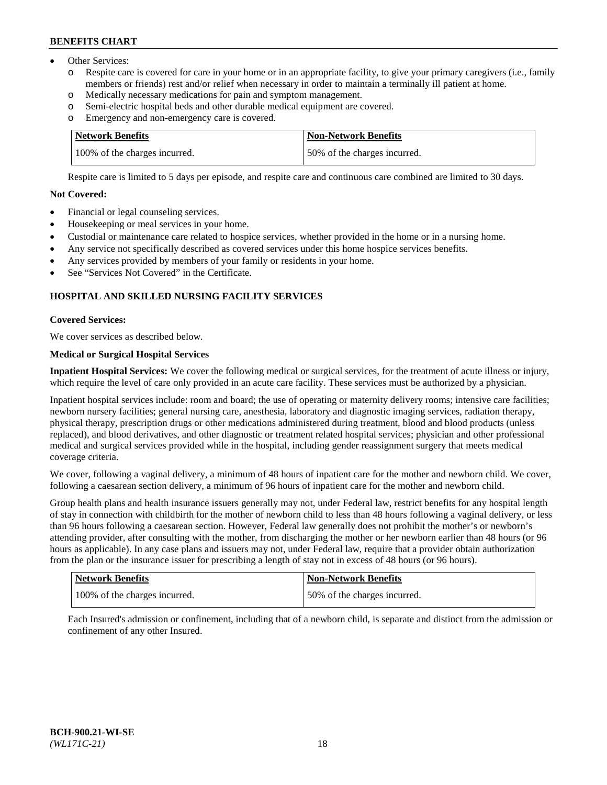- Other Services:
	- Respite care is covered for care in your home or in an appropriate facility, to give your primary caregivers (i.e., family members or friends) rest and/or relief when necessary in order to maintain a terminally ill patient at home.
	- o Medically necessary medications for pain and symptom management.
	- o Semi-electric hospital beds and other durable medical equipment are covered.
	- Emergency and non-emergency care is covered.

| Network Benefits              | Non-Network Benefits         |
|-------------------------------|------------------------------|
| 100% of the charges incurred. | 50% of the charges incurred. |

Respite care is limited to 5 days per episode, and respite care and continuous care combined are limited to 30 days.

## **Not Covered:**

- Financial or legal counseling services.
- Housekeeping or meal services in your home.
- Custodial or maintenance care related to hospice services, whether provided in the home or in a nursing home.
- Any service not specifically described as covered services under this home hospice services benefits.
- Any services provided by members of your family or residents in your home.
- See "Services Not Covered" in the Certificate.

## **HOSPITAL AND SKILLED NURSING FACILITY SERVICES**

#### **Covered Services:**

We cover services as described below.

## **Medical or Surgical Hospital Services**

**Inpatient Hospital Services:** We cover the following medical or surgical services, for the treatment of acute illness or injury, which require the level of care only provided in an acute care facility. These services must be authorized by a physician.

Inpatient hospital services include: room and board; the use of operating or maternity delivery rooms; intensive care facilities; newborn nursery facilities; general nursing care, anesthesia, laboratory and diagnostic imaging services, radiation therapy, physical therapy, prescription drugs or other medications administered during treatment, blood and blood products (unless replaced), and blood derivatives, and other diagnostic or treatment related hospital services; physician and other professional medical and surgical services provided while in the hospital, including gender reassignment surgery that meets medical coverage criteria.

We cover, following a vaginal delivery, a minimum of 48 hours of inpatient care for the mother and newborn child. We cover, following a caesarean section delivery, a minimum of 96 hours of inpatient care for the mother and newborn child.

Group health plans and health insurance issuers generally may not, under Federal law, restrict benefits for any hospital length of stay in connection with childbirth for the mother of newborn child to less than 48 hours following a vaginal delivery, or less than 96 hours following a caesarean section. However, Federal law generally does not prohibit the mother's or newborn's attending provider, after consulting with the mother, from discharging the mother or her newborn earlier than 48 hours (or 96 hours as applicable). In any case plans and issuers may not, under Federal law, require that a provider obtain authorization from the plan or the insurance issuer for prescribing a length of stay not in excess of 48 hours (or 96 hours).

| <b>Network Benefits</b>       | Non-Network Benefits         |
|-------------------------------|------------------------------|
| 100% of the charges incurred. | 50% of the charges incurred. |

Each Insured's admission or confinement, including that of a newborn child, is separate and distinct from the admission or confinement of any other Insured.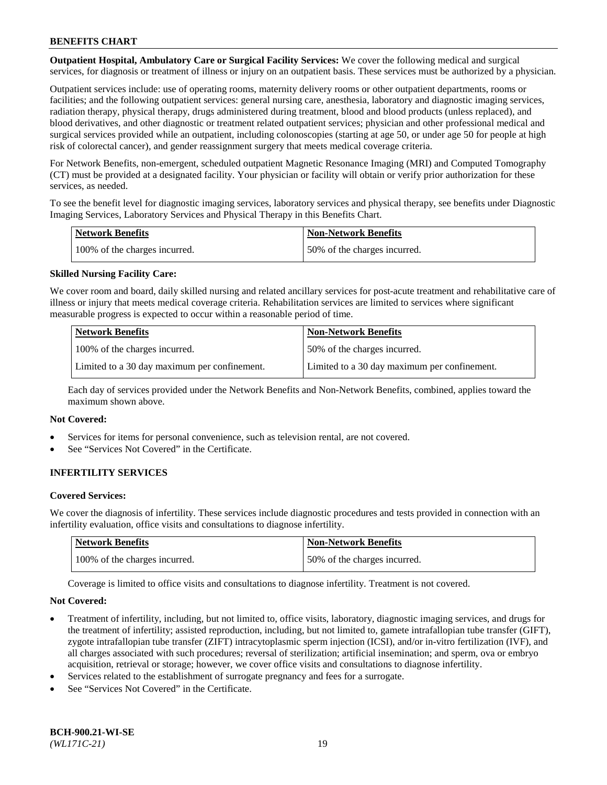**Outpatient Hospital, Ambulatory Care or Surgical Facility Services:** We cover the following medical and surgical services, for diagnosis or treatment of illness or injury on an outpatient basis. These services must be authorized by a physician.

Outpatient services include: use of operating rooms, maternity delivery rooms or other outpatient departments, rooms or facilities; and the following outpatient services: general nursing care, anesthesia, laboratory and diagnostic imaging services, radiation therapy, physical therapy, drugs administered during treatment, blood and blood products (unless replaced), and blood derivatives, and other diagnostic or treatment related outpatient services; physician and other professional medical and surgical services provided while an outpatient, including colonoscopies (starting at age 50, or under age 50 for people at high risk of colorectal cancer), and gender reassignment surgery that meets medical coverage criteria.

For Network Benefits, non-emergent, scheduled outpatient Magnetic Resonance Imaging (MRI) and Computed Tomography (CT) must be provided at a designated facility. Your physician or facility will obtain or verify prior authorization for these services, as needed.

To see the benefit level for diagnostic imaging services, laboratory services and physical therapy, see benefits under Diagnostic Imaging Services, Laboratory Services and Physical Therapy in this Benefits Chart.

| <b>Network Benefits</b>       | <b>Non-Network Benefits</b>  |
|-------------------------------|------------------------------|
| 100% of the charges incurred. | 50% of the charges incurred. |

## **Skilled Nursing Facility Care:**

We cover room and board, daily skilled nursing and related ancillary services for post-acute treatment and rehabilitative care of illness or injury that meets medical coverage criteria. Rehabilitation services are limited to services where significant measurable progress is expected to occur within a reasonable period of time.

| <b>Network Benefits</b>                      | <b>Non-Network Benefits</b>                  |
|----------------------------------------------|----------------------------------------------|
| 100% of the charges incurred.                | 150% of the charges incurred.                |
| Limited to a 30 day maximum per confinement. | Limited to a 30 day maximum per confinement. |

Each day of services provided under the Network Benefits and Non-Network Benefits, combined, applies toward the maximum shown above.

#### **Not Covered:**

- Services for items for personal convenience, such as television rental, are not covered.
- See "Services Not Covered" in the Certificate.

## **INFERTILITY SERVICES**

#### **Covered Services:**

We cover the diagnosis of infertility. These services include diagnostic procedures and tests provided in connection with an infertility evaluation, office visits and consultations to diagnose infertility.

| <b>Network Benefits</b>       | <b>Non-Network Benefits</b>  |
|-------------------------------|------------------------------|
| 100% of the charges incurred. | 50% of the charges incurred. |

Coverage is limited to office visits and consultations to diagnose infertility. Treatment is not covered.

#### **Not Covered:**

- Treatment of infertility, including, but not limited to, office visits, laboratory, diagnostic imaging services, and drugs for the treatment of infertility; assisted reproduction, including, but not limited to, gamete intrafallopian tube transfer (GIFT), zygote intrafallopian tube transfer (ZIFT) intracytoplasmic sperm injection (ICSI), and/or in-vitro fertilization (IVF), and all charges associated with such procedures; reversal of sterilization; artificial insemination; and sperm, ova or embryo acquisition, retrieval or storage; however, we cover office visits and consultations to diagnose infertility.
- Services related to the establishment of surrogate pregnancy and fees for a surrogate.
- See "Services Not Covered" in the Certificate.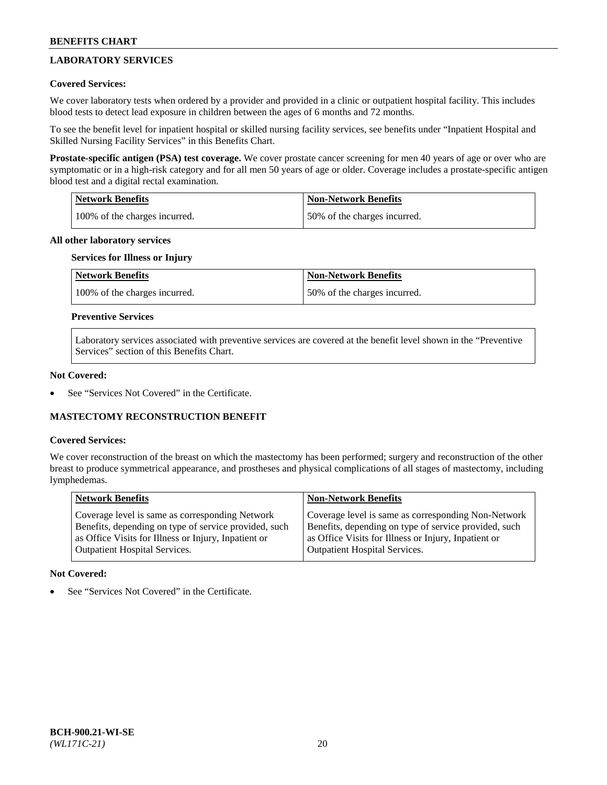## **LABORATORY SERVICES**

## **Covered Services:**

We cover laboratory tests when ordered by a provider and provided in a clinic or outpatient hospital facility. This includes blood tests to detect lead exposure in children between the ages of 6 months and 72 months.

To see the benefit level for inpatient hospital or skilled nursing facility services, see benefits under "Inpatient Hospital and Skilled Nursing Facility Services" in this Benefits Chart.

**Prostate-specific antigen (PSA) test coverage.** We cover prostate cancer screening for men 40 years of age or over who are symptomatic or in a high-risk category and for all men 50 years of age or older. Coverage includes a prostate-specific antigen blood test and a digital rectal examination.

| Network Benefits              | <b>Non-Network Benefits</b>  |
|-------------------------------|------------------------------|
| 100% of the charges incurred. | 50% of the charges incurred. |

### **All other laboratory services**

## **Services for Illness or Injury**

| <b>Network Benefits</b>       | <b>Non-Network Benefits</b>  |
|-------------------------------|------------------------------|
| 100% of the charges incurred. | 50% of the charges incurred. |

### **Preventive Services**

Laboratory services associated with preventive services are covered at the benefit level shown in the "Preventive Services" section of this Benefits Chart.

#### **Not Covered:**

See "Services Not Covered" in the Certificate.

## **MASTECTOMY RECONSTRUCTION BENEFIT**

#### **Covered Services:**

We cover reconstruction of the breast on which the mastectomy has been performed; surgery and reconstruction of the other breast to produce symmetrical appearance, and prostheses and physical complications of all stages of mastectomy, including lymphedemas.

| <b>Network Benefits</b>                               | <b>Non-Network Benefits</b>                           |
|-------------------------------------------------------|-------------------------------------------------------|
| Coverage level is same as corresponding Network       | Coverage level is same as corresponding Non-Network   |
| Benefits, depending on type of service provided, such | Benefits, depending on type of service provided, such |
| as Office Visits for Illness or Injury, Inpatient or  | as Office Visits for Illness or Injury, Inpatient or  |
| Outpatient Hospital Services.                         | <b>Outpatient Hospital Services.</b>                  |

#### **Not Covered:**

See "Services Not Covered" in the Certificate.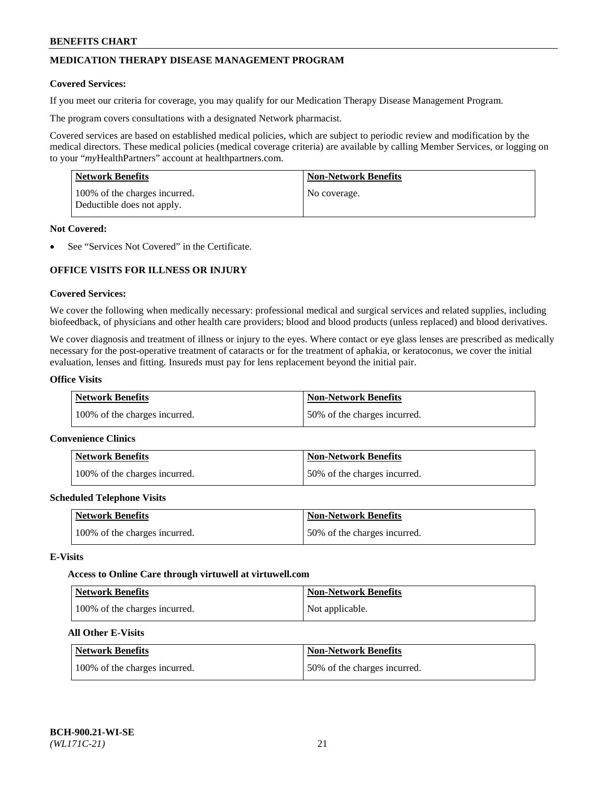## **MEDICATION THERAPY DISEASE MANAGEMENT PROGRAM**

#### **Covered Services:**

If you meet our criteria for coverage, you may qualify for our Medication Therapy Disease Management Program.

The program covers consultations with a designated Network pharmacist.

Covered services are based on established medical policies, which are subject to periodic review and modification by the medical directors. These medical policies (medical coverage criteria) are available by calling Member Services, or logging on to your "*my*HealthPartners" account at [healthpartners.com.](http://www.healthpartners.com/)

| Network Benefits                                            | <b>Non-Network Benefits</b> |
|-------------------------------------------------------------|-----------------------------|
| 100% of the charges incurred.<br>Deductible does not apply. | No coverage.                |

#### **Not Covered:**

See "Services Not Covered" in the Certificate.

## **OFFICE VISITS FOR ILLNESS OR INJURY**

#### **Covered Services:**

We cover the following when medically necessary: professional medical and surgical services and related supplies, including biofeedback, of physicians and other health care providers; blood and blood products (unless replaced) and blood derivatives.

We cover diagnosis and treatment of illness or injury to the eyes. Where contact or eye glass lenses are prescribed as medically necessary for the post-operative treatment of cataracts or for the treatment of aphakia, or keratoconus, we cover the initial evaluation, lenses and fitting. Insureds must pay for lens replacement beyond the initial pair.

## **Office Visits**

| <b>Network Benefits</b>       | <b>Non-Network Benefits</b>  |
|-------------------------------|------------------------------|
| 100% of the charges incurred. | 50% of the charges incurred. |

#### **Convenience Clinics**

| Network Benefits              | <b>Non-Network Benefits</b>  |
|-------------------------------|------------------------------|
| 100% of the charges incurred. | 50% of the charges incurred. |

#### **Scheduled Telephone Visits**

| <b>Network Benefits</b>       | Non-Network Benefits         |
|-------------------------------|------------------------------|
| 100% of the charges incurred. | 50% of the charges incurred. |

#### **E-Visits**

#### **Access to Online Care through virtuwell a[t virtuwell.com](https://www.virtuwell.com/)**

| Network Benefits              | <b>Non-Network Benefits</b> |
|-------------------------------|-----------------------------|
| 100% of the charges incurred. | Not applicable.             |

## **All Other E-Visits**

| <b>Network Benefits</b>       | <b>Non-Network Benefits</b>  |
|-------------------------------|------------------------------|
| 100% of the charges incurred. | 50% of the charges incurred. |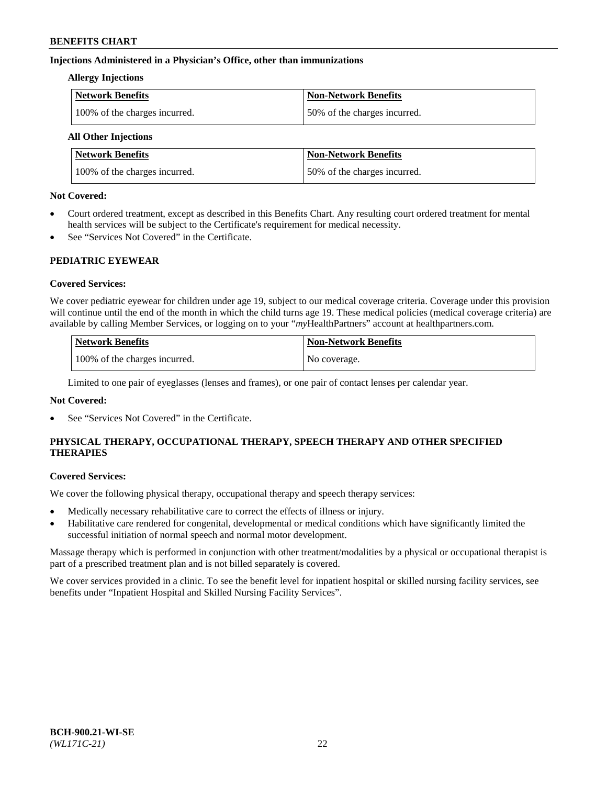## **Injections Administered in a Physician's Office, other than immunizations**

#### **Allergy Injections**

| Network Benefits              | <b>Non-Network Benefits</b>  |
|-------------------------------|------------------------------|
| 100% of the charges incurred. | 50% of the charges incurred. |

## **All Other Injections**

| <b>Network Benefits</b>       | <b>Non-Network Benefits</b>  |
|-------------------------------|------------------------------|
| 100% of the charges incurred. | 50% of the charges incurred. |

#### **Not Covered:**

- Court ordered treatment, except as described in this Benefits Chart. Any resulting court ordered treatment for mental health services will be subject to the Certificate's requirement for medical necessity.
- See "Services Not Covered" in the Certificate.

## **PEDIATRIC EYEWEAR**

## **Covered Services:**

We cover pediatric eyewear for children under age 19, subject to our medical coverage criteria. Coverage under this provision will continue until the end of the month in which the child turns age 19. These medical policies (medical coverage criteria) are available by calling Member Services, or logging on to your "*my*HealthPartners" account a[t healthpartners.com.](https://www.healthpartners.com/hp/index.html)

| Network Benefits              | <b>Non-Network Benefits</b> |
|-------------------------------|-----------------------------|
| 100% of the charges incurred. | No coverage.                |

Limited to one pair of eyeglasses (lenses and frames), or one pair of contact lenses per calendar year.

## **Not Covered:**

See "Services Not Covered" in the Certificate.

## **PHYSICAL THERAPY, OCCUPATIONAL THERAPY, SPEECH THERAPY AND OTHER SPECIFIED THERAPIES**

#### **Covered Services:**

We cover the following physical therapy, occupational therapy and speech therapy services:

- Medically necessary rehabilitative care to correct the effects of illness or injury.
- Habilitative care rendered for congenital, developmental or medical conditions which have significantly limited the successful initiation of normal speech and normal motor development.

Massage therapy which is performed in conjunction with other treatment/modalities by a physical or occupational therapist is part of a prescribed treatment plan and is not billed separately is covered.

We cover services provided in a clinic. To see the benefit level for inpatient hospital or skilled nursing facility services, see benefits under "Inpatient Hospital and Skilled Nursing Facility Services".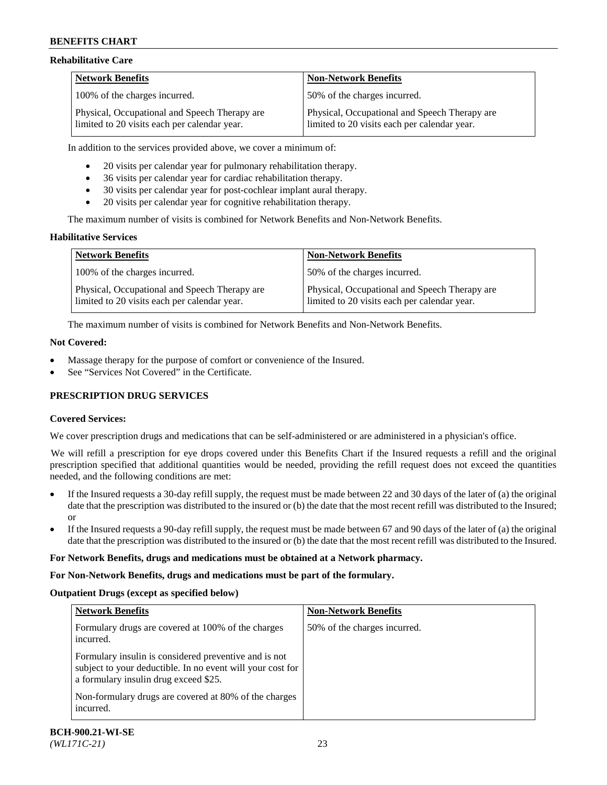### **Rehabilitative Care**

| <b>Network Benefits</b>                                                                       | <b>Non-Network Benefits</b>                                                                   |
|-----------------------------------------------------------------------------------------------|-----------------------------------------------------------------------------------------------|
| 100% of the charges incurred.                                                                 | 50% of the charges incurred.                                                                  |
| Physical, Occupational and Speech Therapy are<br>limited to 20 visits each per calendar year. | Physical, Occupational and Speech Therapy are<br>limited to 20 visits each per calendar year. |

In addition to the services provided above, we cover a minimum of:

- 20 visits per calendar year for pulmonary rehabilitation therapy.
- 36 visits per calendar year for cardiac rehabilitation therapy.
- 30 visits per calendar year for post-cochlear implant aural therapy.
- 20 visits per calendar year for cognitive rehabilitation therapy.

The maximum number of visits is combined for Network Benefits and Non-Network Benefits.

## **Habilitative Services**

| <b>Network Benefits</b>                                                                       | <b>Non-Network Benefits</b>                                                                   |
|-----------------------------------------------------------------------------------------------|-----------------------------------------------------------------------------------------------|
| 100% of the charges incurred.                                                                 | 50% of the charges incurred.                                                                  |
| Physical, Occupational and Speech Therapy are<br>limited to 20 visits each per calendar year. | Physical, Occupational and Speech Therapy are<br>limited to 20 visits each per calendar year. |

The maximum number of visits is combined for Network Benefits and Non-Network Benefits.

### **Not Covered:**

- Massage therapy for the purpose of comfort or convenience of the Insured.
- See "Services Not Covered" in the Certificate.

## **PRESCRIPTION DRUG SERVICES**

## **Covered Services:**

We cover prescription drugs and medications that can be self-administered or are administered in a physician's office.

We will refill a prescription for eye drops covered under this Benefits Chart if the Insured requests a refill and the original prescription specified that additional quantities would be needed, providing the refill request does not exceed the quantities needed, and the following conditions are met:

- If the Insured requests a 30-day refill supply, the request must be made between 22 and 30 days of the later of (a) the original date that the prescription was distributed to the insured or (b) the date that the most recent refill was distributed to the Insured; or
- If the Insured requests a 90-day refill supply, the request must be made between 67 and 90 days of the later of (a) the original date that the prescription was distributed to the insured or (b) the date that the most recent refill was distributed to the Insured.

#### **For Network Benefits, drugs and medications must be obtained at a Network pharmacy.**

#### **For Non-Network Benefits, drugs and medications must be part of the formulary.**

## **Outpatient Drugs (except as specified below)**

| <b>Network Benefits</b>                                                                                                                                      | <b>Non-Network Benefits</b>  |
|--------------------------------------------------------------------------------------------------------------------------------------------------------------|------------------------------|
| Formulary drugs are covered at 100% of the charges<br>incurred.                                                                                              | 50% of the charges incurred. |
| Formulary insulin is considered preventive and is not<br>subject to your deductible. In no event will your cost for<br>a formulary insulin drug exceed \$25. |                              |
| Non-formulary drugs are covered at 80% of the charges<br>incurred.                                                                                           |                              |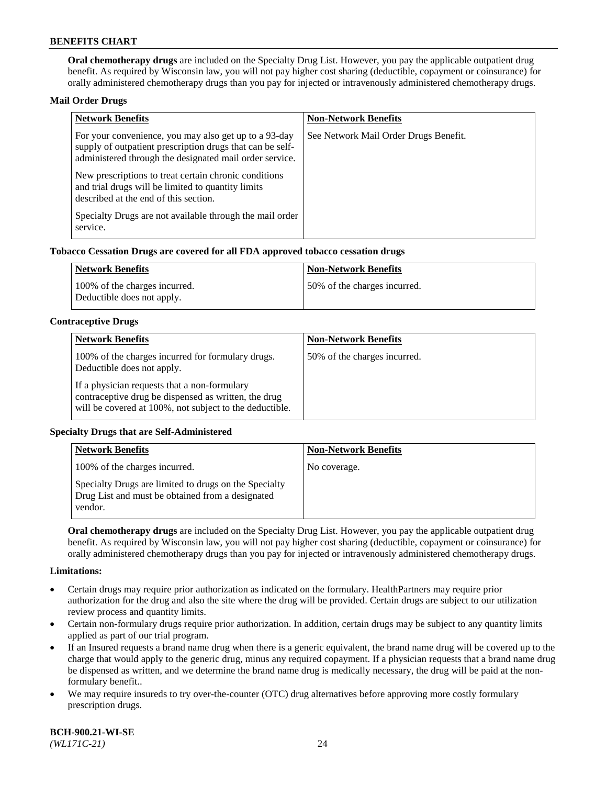**Oral chemotherapy drugs** are included on the Specialty Drug List. However, you pay the applicable outpatient drug benefit. As required by Wisconsin law, you will not pay higher cost sharing (deductible, copayment or coinsurance) for orally administered chemotherapy drugs than you pay for injected or intravenously administered chemotherapy drugs.

#### **Mail Order Drugs**

| <b>Network Benefits</b>                                                                                                                                                       | <b>Non-Network Benefits</b>           |
|-------------------------------------------------------------------------------------------------------------------------------------------------------------------------------|---------------------------------------|
| For your convenience, you may also get up to a 93-day<br>supply of outpatient prescription drugs that can be self-<br>administered through the designated mail order service. | See Network Mail Order Drugs Benefit. |
| New prescriptions to treat certain chronic conditions<br>and trial drugs will be limited to quantity limits<br>described at the end of this section.                          |                                       |
| Specialty Drugs are not available through the mail order<br>service.                                                                                                          |                                       |

#### **Tobacco Cessation Drugs are covered for all FDA approved tobacco cessation drugs**

| Network Benefits                                            | Non-Network Benefits         |
|-------------------------------------------------------------|------------------------------|
| 100% of the charges incurred.<br>Deductible does not apply. | 50% of the charges incurred. |

#### **Contraceptive Drugs**

| <b>Network Benefits</b>                                                                                                                                         | <b>Non-Network Benefits</b>  |
|-----------------------------------------------------------------------------------------------------------------------------------------------------------------|------------------------------|
| 100% of the charges incurred for formulary drugs.<br>Deductible does not apply.                                                                                 | 50% of the charges incurred. |
| If a physician requests that a non-formulary<br>contraceptive drug be dispensed as written, the drug<br>will be covered at 100%, not subject to the deductible. |                              |

## **Specialty Drugs that are Self-Administered**

| <b>Network Benefits</b>                                                                                              | <b>Non-Network Benefits</b> |
|----------------------------------------------------------------------------------------------------------------------|-----------------------------|
| 100% of the charges incurred.                                                                                        | No coverage.                |
| Specialty Drugs are limited to drugs on the Specialty<br>Drug List and must be obtained from a designated<br>vendor. |                             |

**Oral chemotherapy drugs** are included on the Specialty Drug List. However, you pay the applicable outpatient drug benefit. As required by Wisconsin law, you will not pay higher cost sharing (deductible, copayment or coinsurance) for orally administered chemotherapy drugs than you pay for injected or intravenously administered chemotherapy drugs.

#### **Limitations:**

- Certain drugs may require prior authorization as indicated on the formulary. HealthPartners may require prior authorization for the drug and also the site where the drug will be provided. Certain drugs are subject to our utilization review process and quantity limits.
- Certain non-formulary drugs require prior authorization. In addition, certain drugs may be subject to any quantity limits applied as part of our trial program.
- If an Insured requests a brand name drug when there is a generic equivalent, the brand name drug will be covered up to the charge that would apply to the generic drug, minus any required copayment. If a physician requests that a brand name drug be dispensed as written, and we determine the brand name drug is medically necessary, the drug will be paid at the nonformulary benefit..
- We may require insureds to try over-the-counter (OTC) drug alternatives before approving more costly formulary prescription drugs.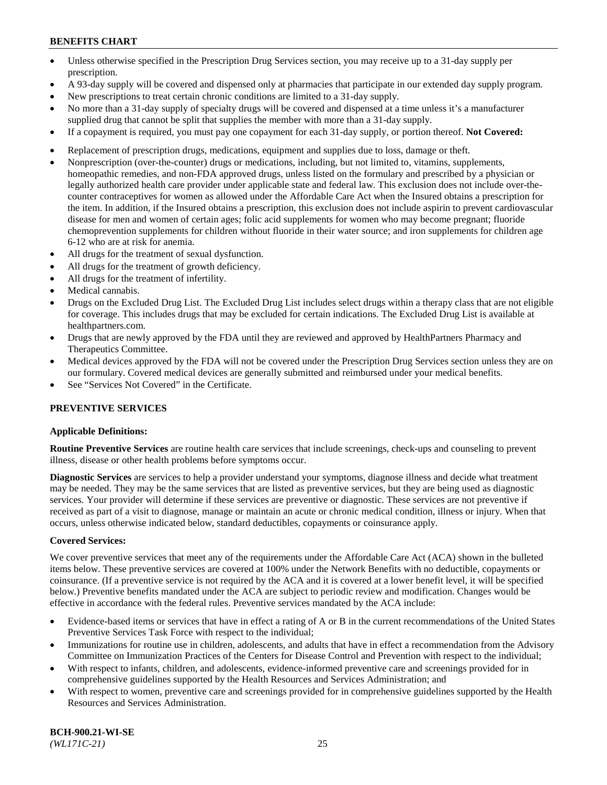- Unless otherwise specified in the Prescription Drug Services section, you may receive up to a 31-day supply per prescription.
- A 93-day supply will be covered and dispensed only at pharmacies that participate in our extended day supply program.
- New prescriptions to treat certain chronic conditions are limited to a 31-day supply.
- No more than a 31-day supply of specialty drugs will be covered and dispensed at a time unless it's a manufacturer supplied drug that cannot be split that supplies the member with more than a 31-day supply.
- If a copayment is required, you must pay one copayment for each 31-day supply, or portion thereof. **Not Covered:**
- Replacement of prescription drugs, medications, equipment and supplies due to loss, damage or theft.
- Nonprescription (over-the-counter) drugs or medications, including, but not limited to, vitamins, supplements, homeopathic remedies, and non-FDA approved drugs, unless listed on the formulary and prescribed by a physician or legally authorized health care provider under applicable state and federal law. This exclusion does not include over-thecounter contraceptives for women as allowed under the Affordable Care Act when the Insured obtains a prescription for the item. In addition, if the Insured obtains a prescription, this exclusion does not include aspirin to prevent cardiovascular disease for men and women of certain ages; folic acid supplements for women who may become pregnant; fluoride chemoprevention supplements for children without fluoride in their water source; and iron supplements for children age 6-12 who are at risk for anemia.
- All drugs for the treatment of sexual dysfunction.
- All drugs for the treatment of growth deficiency.
- All drugs for the treatment of infertility.
- Medical cannabis.
- Drugs on the Excluded Drug List. The Excluded Drug List includes select drugs within a therapy class that are not eligible for coverage. This includes drugs that may be excluded for certain indications. The Excluded Drug List is available at [healthpartners.com.](http://www.healthpartners.com/)
- Drugs that are newly approved by the FDA until they are reviewed and approved by HealthPartners Pharmacy and Therapeutics Committee.
- Medical devices approved by the FDA will not be covered under the Prescription Drug Services section unless they are on our formulary. Covered medical devices are generally submitted and reimbursed under your medical benefits.
- See "Services Not Covered" in the Certificate.

## **PREVENTIVE SERVICES**

#### **Applicable Definitions:**

**Routine Preventive Services** are routine health care services that include screenings, check-ups and counseling to prevent illness, disease or other health problems before symptoms occur.

**Diagnostic Services** are services to help a provider understand your symptoms, diagnose illness and decide what treatment may be needed. They may be the same services that are listed as preventive services, but they are being used as diagnostic services. Your provider will determine if these services are preventive or diagnostic. These services are not preventive if received as part of a visit to diagnose, manage or maintain an acute or chronic medical condition, illness or injury. When that occurs, unless otherwise indicated below, standard deductibles, copayments or coinsurance apply.

#### **Covered Services:**

We cover preventive services that meet any of the requirements under the Affordable Care Act (ACA) shown in the bulleted items below. These preventive services are covered at 100% under the Network Benefits with no deductible, copayments or coinsurance. (If a preventive service is not required by the ACA and it is covered at a lower benefit level, it will be specified below.) Preventive benefits mandated under the ACA are subject to periodic review and modification. Changes would be effective in accordance with the federal rules. Preventive services mandated by the ACA include:

- Evidence-based items or services that have in effect a rating of A or B in the current recommendations of the United States Preventive Services Task Force with respect to the individual;
- Immunizations for routine use in children, adolescents, and adults that have in effect a recommendation from the Advisory Committee on Immunization Practices of the Centers for Disease Control and Prevention with respect to the individual;
- With respect to infants, children, and adolescents, evidence-informed preventive care and screenings provided for in comprehensive guidelines supported by the Health Resources and Services Administration; and
- With respect to women, preventive care and screenings provided for in comprehensive guidelines supported by the Health Resources and Services Administration.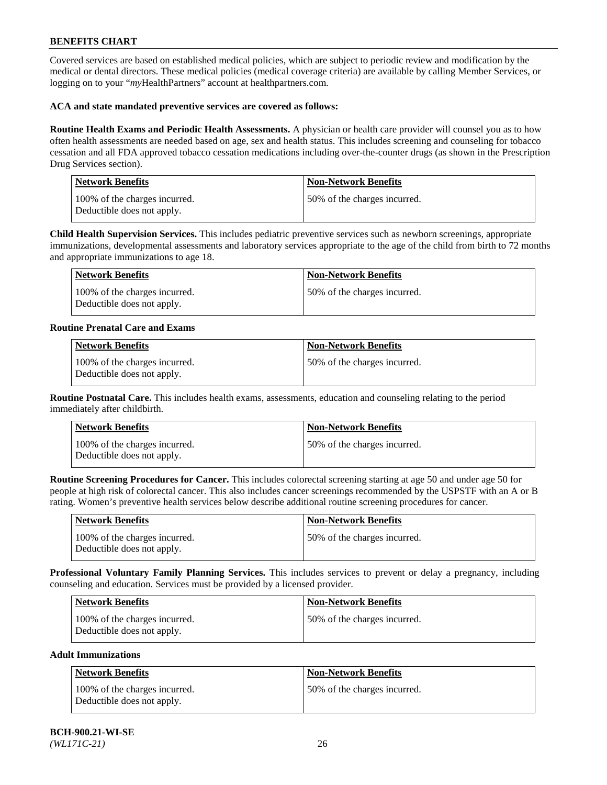Covered services are based on established medical policies, which are subject to periodic review and modification by the medical or dental directors. These medical policies (medical coverage criteria) are available by calling Member Services, or logging on to your "*my*HealthPartners" account at [healthpartners.com.](https://www.healthpartners.com/hp/index.html)

### **ACA and state mandated preventive services are covered as follows:**

**Routine Health Exams and Periodic Health Assessments.** A physician or health care provider will counsel you as to how often health assessments are needed based on age, sex and health status. This includes screening and counseling for tobacco cessation and all FDA approved tobacco cessation medications including over-the-counter drugs (as shown in the Prescription Drug Services section).

| <b>Network Benefits</b>                                     | <b>Non-Network Benefits</b>  |
|-------------------------------------------------------------|------------------------------|
| 100% of the charges incurred.<br>Deductible does not apply. | 50% of the charges incurred. |

**Child Health Supervision Services.** This includes pediatric preventive services such as newborn screenings, appropriate immunizations, developmental assessments and laboratory services appropriate to the age of the child from birth to 72 months and appropriate immunizations to age 18.

| Network Benefits                                            | Non-Network Benefits         |
|-------------------------------------------------------------|------------------------------|
| 100% of the charges incurred.<br>Deductible does not apply. | 50% of the charges incurred. |

#### **Routine Prenatal Care and Exams**

| <b>Network Benefits</b>                                     | <b>Non-Network Benefits</b>  |
|-------------------------------------------------------------|------------------------------|
| 100% of the charges incurred.<br>Deductible does not apply. | 50% of the charges incurred. |

**Routine Postnatal Care.** This includes health exams, assessments, education and counseling relating to the period immediately after childbirth.

| <b>Network Benefits</b>                                     | <b>Non-Network Benefits</b>  |
|-------------------------------------------------------------|------------------------------|
| 100% of the charges incurred.<br>Deductible does not apply. | 50% of the charges incurred. |

**Routine Screening Procedures for Cancer.** This includes colorectal screening starting at age 50 and under age 50 for people at high risk of colorectal cancer. This also includes cancer screenings recommended by the USPSTF with an A or B rating. Women's preventive health services below describe additional routine screening procedures for cancer.

| <b>Network Benefits</b>                                     | Non-Network Benefits         |
|-------------------------------------------------------------|------------------------------|
| 100% of the charges incurred.<br>Deductible does not apply. | 50% of the charges incurred. |

**Professional Voluntary Family Planning Services.** This includes services to prevent or delay a pregnancy, including counseling and education. Services must be provided by a licensed provider.

| <b>Network Benefits</b>                                     | <b>Non-Network Benefits</b>   |
|-------------------------------------------------------------|-------------------------------|
| 100% of the charges incurred.<br>Deductible does not apply. | 150% of the charges incurred. |

#### **Adult Immunizations**

| Network Benefits                                            | <b>Non-Network Benefits</b>  |
|-------------------------------------------------------------|------------------------------|
| 100% of the charges incurred.<br>Deductible does not apply. | 50% of the charges incurred. |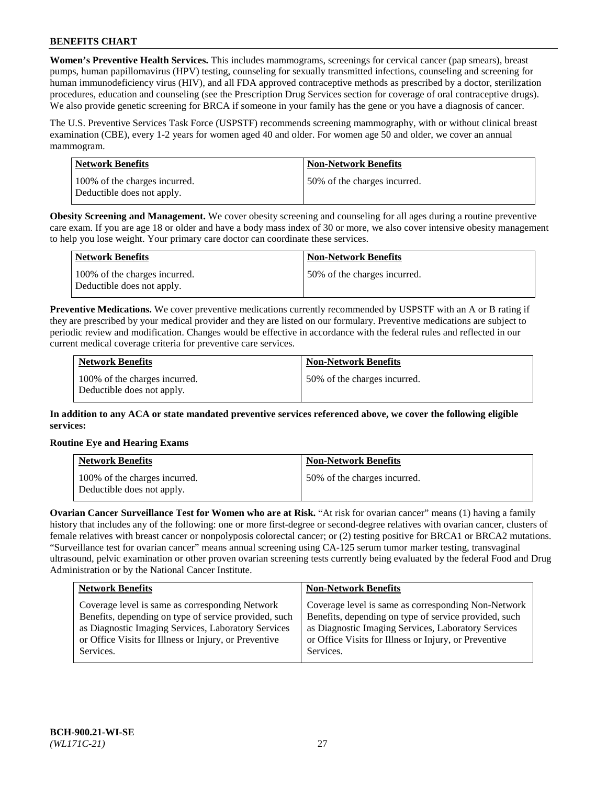**Women's Preventive Health Services.** This includes mammograms, screenings for cervical cancer (pap smears), breast pumps, human papillomavirus (HPV) testing, counseling for sexually transmitted infections, counseling and screening for human immunodeficiency virus (HIV), and all FDA approved contraceptive methods as prescribed by a doctor, sterilization procedures, education and counseling (see the Prescription Drug Services section for coverage of oral contraceptive drugs). We also provide genetic screening for BRCA if someone in your family has the gene or you have a diagnosis of cancer.

The U.S. Preventive Services Task Force (USPSTF) recommends screening mammography, with or without clinical breast examination (CBE), every 1-2 years for women aged 40 and older. For women age 50 and older, we cover an annual mammogram.

| Network Benefits                                            | <b>Non-Network Benefits</b>  |
|-------------------------------------------------------------|------------------------------|
| 100% of the charges incurred.<br>Deductible does not apply. | 50% of the charges incurred. |

**Obesity Screening and Management.** We cover obesity screening and counseling for all ages during a routine preventive care exam. If you are age 18 or older and have a body mass index of 30 or more, we also cover intensive obesity management to help you lose weight. Your primary care doctor can coordinate these services.

| Network Benefits                                            | <b>Non-Network Benefits</b>  |
|-------------------------------------------------------------|------------------------------|
| 100% of the charges incurred.<br>Deductible does not apply. | 50% of the charges incurred. |

**Preventive Medications.** We cover preventive medications currently recommended by USPSTF with an A or B rating if they are prescribed by your medical provider and they are listed on our formulary. Preventive medications are subject to periodic review and modification. Changes would be effective in accordance with the federal rules and reflected in our current medical coverage criteria for preventive care services.

| <b>Network Benefits</b>                                     | <b>Non-Network Benefits</b>  |
|-------------------------------------------------------------|------------------------------|
| 100% of the charges incurred.<br>Deductible does not apply. | 50% of the charges incurred. |

**In addition to any ACA or state mandated preventive services referenced above, we cover the following eligible services:**

## **Routine Eye and Hearing Exams**

| <b>Network Benefits</b>                                     | <b>Non-Network Benefits</b>  |
|-------------------------------------------------------------|------------------------------|
| 100% of the charges incurred.<br>Deductible does not apply. | 50% of the charges incurred. |

**Ovarian Cancer Surveillance Test for Women who are at Risk.** "At risk for ovarian cancer" means (1) having a family history that includes any of the following: one or more first-degree or second-degree relatives with ovarian cancer, clusters of female relatives with breast cancer or nonpolyposis colorectal cancer; or (2) testing positive for BRCA1 or BRCA2 mutations. "Surveillance test for ovarian cancer" means annual screening using CA-125 serum tumor marker testing, transvaginal ultrasound, pelvic examination or other proven ovarian screening tests currently being evaluated by the federal Food and Drug Administration or by the National Cancer Institute.

| <b>Network Benefits</b>                               | <b>Non-Network Benefits</b>                           |
|-------------------------------------------------------|-------------------------------------------------------|
| Coverage level is same as corresponding Network       | Coverage level is same as corresponding Non-Network   |
| Benefits, depending on type of service provided, such | Benefits, depending on type of service provided, such |
| as Diagnostic Imaging Services, Laboratory Services   | as Diagnostic Imaging Services, Laboratory Services   |
| or Office Visits for Illness or Injury, or Preventive | or Office Visits for Illness or Injury, or Preventive |
| Services.                                             | Services.                                             |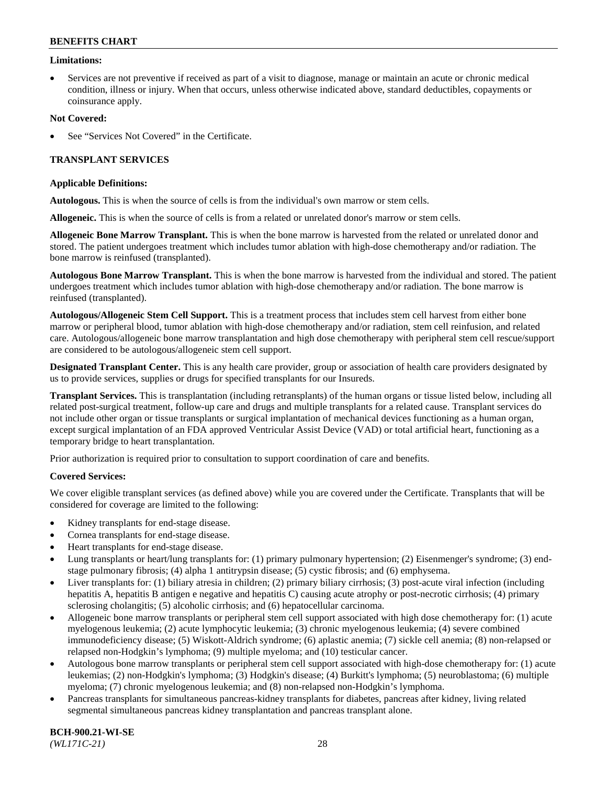#### **Limitations:**

• Services are not preventive if received as part of a visit to diagnose, manage or maintain an acute or chronic medical condition, illness or injury. When that occurs, unless otherwise indicated above, standard deductibles, copayments or coinsurance apply.

#### **Not Covered:**

See "Services Not Covered" in the Certificate.

## **TRANSPLANT SERVICES**

#### **Applicable Definitions:**

**Autologous.** This is when the source of cells is from the individual's own marrow or stem cells.

**Allogeneic.** This is when the source of cells is from a related or unrelated donor's marrow or stem cells.

**Allogeneic Bone Marrow Transplant.** This is when the bone marrow is harvested from the related or unrelated donor and stored. The patient undergoes treatment which includes tumor ablation with high-dose chemotherapy and/or radiation. The bone marrow is reinfused (transplanted).

**Autologous Bone Marrow Transplant.** This is when the bone marrow is harvested from the individual and stored. The patient undergoes treatment which includes tumor ablation with high-dose chemotherapy and/or radiation. The bone marrow is reinfused (transplanted).

**Autologous/Allogeneic Stem Cell Support.** This is a treatment process that includes stem cell harvest from either bone marrow or peripheral blood, tumor ablation with high-dose chemotherapy and/or radiation, stem cell reinfusion, and related care. Autologous/allogeneic bone marrow transplantation and high dose chemotherapy with peripheral stem cell rescue/support are considered to be autologous/allogeneic stem cell support.

**Designated Transplant Center.** This is any health care provider, group or association of health care providers designated by us to provide services, supplies or drugs for specified transplants for our Insureds.

**Transplant Services.** This is transplantation (including retransplants) of the human organs or tissue listed below, including all related post-surgical treatment, follow-up care and drugs and multiple transplants for a related cause. Transplant services do not include other organ or tissue transplants or surgical implantation of mechanical devices functioning as a human organ, except surgical implantation of an FDA approved Ventricular Assist Device (VAD) or total artificial heart, functioning as a temporary bridge to heart transplantation.

Prior authorization is required prior to consultation to support coordination of care and benefits.

#### **Covered Services:**

We cover eligible transplant services (as defined above) while you are covered under the Certificate. Transplants that will be considered for coverage are limited to the following:

- Kidney transplants for end-stage disease.
- Cornea transplants for end-stage disease.
- Heart transplants for end-stage disease.
- Lung transplants or heart/lung transplants for: (1) primary pulmonary hypertension; (2) Eisenmenger's syndrome; (3) endstage pulmonary fibrosis; (4) alpha 1 antitrypsin disease; (5) cystic fibrosis; and (6) emphysema.
- Liver transplants for: (1) biliary atresia in children; (2) primary biliary cirrhosis; (3) post-acute viral infection (including hepatitis A, hepatitis B antigen e negative and hepatitis C) causing acute atrophy or post-necrotic cirrhosis; (4) primary sclerosing cholangitis; (5) alcoholic cirrhosis; and (6) hepatocellular carcinoma.
- Allogeneic bone marrow transplants or peripheral stem cell support associated with high dose chemotherapy for: (1) acute myelogenous leukemia; (2) acute lymphocytic leukemia; (3) chronic myelogenous leukemia; (4) severe combined immunodeficiency disease; (5) Wiskott-Aldrich syndrome; (6) aplastic anemia; (7) sickle cell anemia; (8) non-relapsed or relapsed non-Hodgkin's lymphoma; (9) multiple myeloma; and (10) testicular cancer.
- Autologous bone marrow transplants or peripheral stem cell support associated with high-dose chemotherapy for: (1) acute leukemias; (2) non-Hodgkin's lymphoma; (3) Hodgkin's disease; (4) Burkitt's lymphoma; (5) neuroblastoma; (6) multiple myeloma; (7) chronic myelogenous leukemia; and (8) non-relapsed non-Hodgkin's lymphoma.
- Pancreas transplants for simultaneous pancreas-kidney transplants for diabetes, pancreas after kidney, living related segmental simultaneous pancreas kidney transplantation and pancreas transplant alone.